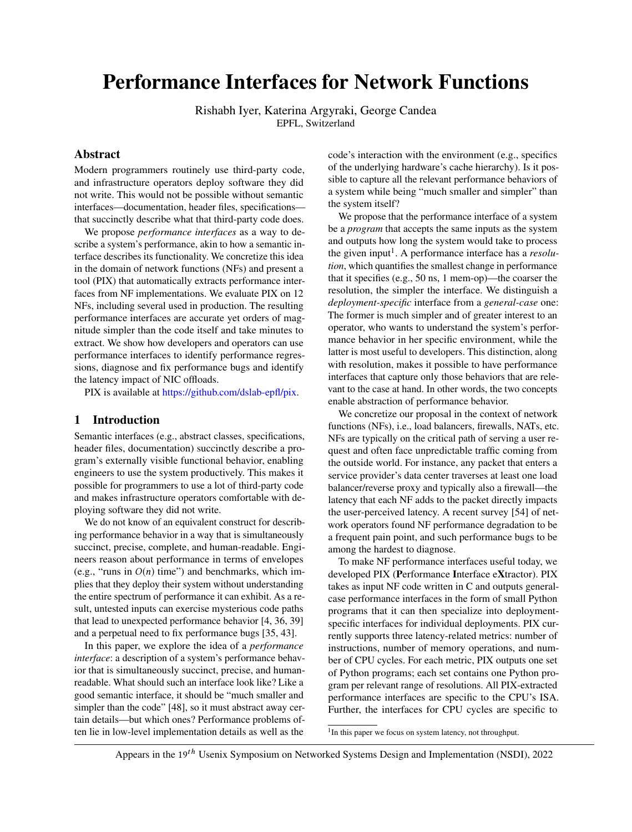# <span id="page-0-0"></span>Performance Interfaces for Network Functions

Rishabh Iyer, Katerina Argyraki, George Candea EPFL, Switzerland

# Abstract

Modern programmers routinely use third-party code, and infrastructure operators deploy software they did not write. This would not be possible without semantic interfaces—documentation, header files, specifications that succinctly describe what that third-party code does.

We propose *performance interfaces* as a way to describe a system's performance, akin to how a semantic interface describes its functionality. We concretize this idea in the domain of network functions (NFs) and present a tool (PIX) that automatically extracts performance interfaces from NF implementations. We evaluate PIX on 12 NFs, including several used in production. The resulting performance interfaces are accurate yet orders of magnitude simpler than the code itself and take minutes to extract. We show how developers and operators can use performance interfaces to identify performance regressions, diagnose and fix performance bugs and identify the latency impact of NIC offloads.

PIX is available at [https://github.com/dslab-epfl/pix.](https://github.com/dslab-epfl/pix)

# 1 Introduction

Semantic interfaces (e.g., abstract classes, specifications, header files, documentation) succinctly describe a program's externally visible functional behavior, enabling engineers to use the system productively. This makes it possible for programmers to use a lot of third-party code and makes infrastructure operators comfortable with deploying software they did not write.

We do not know of an equivalent construct for describing performance behavior in a way that is simultaneously succinct, precise, complete, and human-readable. Engineers reason about performance in terms of envelopes (e.g., "runs in  $O(n)$  time") and benchmarks, which implies that they deploy their system without understanding the entire spectrum of performance it can exhibit. As a result, untested inputs can exercise mysterious code paths that lead to unexpected performance behavior [\[4,](#page-13-0) [36,](#page-14-0) [39\]](#page-14-1) and a perpetual need to fix performance bugs [\[35,](#page-14-2) [43\]](#page-14-3).

In this paper, we explore the idea of a *performance interface*: a description of a system's performance behavior that is simultaneously succinct, precise, and humanreadable. What should such an interface look like? Like a good semantic interface, it should be "much smaller and simpler than the code" [\[48\]](#page-14-4), so it must abstract away certain details—but which ones? Performance problems often lie in low-level implementation details as well as the

code's interaction with the environment (e.g., specifics of the underlying hardware's cache hierarchy). Is it possible to capture all the relevant performance behaviors of a system while being "much smaller and simpler" than the system itself?

We propose that the performance interface of a system be a *program* that accepts the same inputs as the system and outputs how long the system would take to process the given input<sup>1</sup>. A performance interface has a *resolution*, which quantifies the smallest change in performance that it specifies (e.g., 50 ns, 1 mem-op)—the coarser the resolution, the simpler the interface. We distinguish a *deployment-specific* interface from a *general-case* one: The former is much simpler and of greater interest to an operator, who wants to understand the system's performance behavior in her specific environment, while the latter is most useful to developers. This distinction, along with resolution, makes it possible to have performance interfaces that capture only those behaviors that are relevant to the case at hand. In other words, the two concepts enable abstraction of performance behavior.

We concretize our proposal in the context of network functions (NFs), i.e., load balancers, firewalls, NATs, etc. NFs are typically on the critical path of serving a user request and often face unpredictable traffic coming from the outside world. For instance, any packet that enters a service provider's data center traverses at least one load balancer/reverse proxy and typically also a firewall—the latency that each NF adds to the packet directly impacts the user-perceived latency. A recent survey [\[54\]](#page-14-5) of network operators found NF performance degradation to be a frequent pain point, and such performance bugs to be among the hardest to diagnose.

To make NF performance interfaces useful today, we developed PIX (Performance Interface eXtractor). PIX takes as input NF code written in C and outputs generalcase performance interfaces in the form of small Python programs that it can then specialize into deploymentspecific interfaces for individual deployments. PIX currently supports three latency-related metrics: number of instructions, number of memory operations, and number of CPU cycles. For each metric, PIX outputs one set of Python programs; each set contains one Python program per relevant range of resolutions. All PIX-extracted performance interfaces are specific to the CPU's ISA. Further, the interfaces for CPU cycles are specific to

<sup>1</sup>In this paper we focus on system latency, not throughput.

Appears in the 19<sup>th</sup> Usenix Symposium on Networked Systems Design and Implementation (NSDI), 2022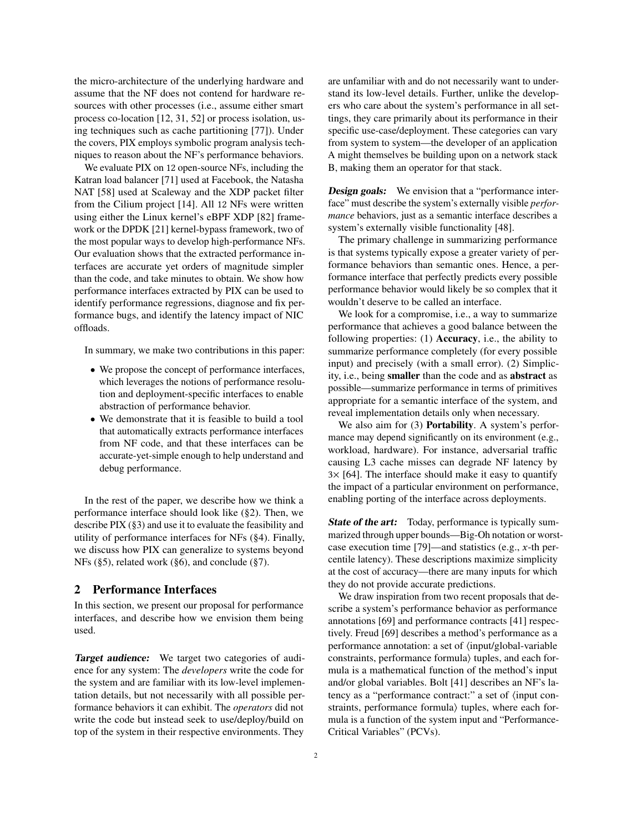the micro-architecture of the underlying hardware and assume that the NF does not contend for hardware resources with other processes (i.e., assume either smart process co-location [\[12,](#page-13-1) [31,](#page-14-6) [52\]](#page-14-7) or process isolation, using techniques such as cache partitioning [\[77\]](#page-15-0)). Under the covers, PIX employs symbolic program analysis techniques to reason about the NF's performance behaviors.

We evaluate PIX on 12 open-source NFs, including the Katran load balancer [\[71\]](#page-15-1) used at Facebook, the Natasha NAT [\[58\]](#page-14-8) used at Scaleway and the XDP packet filter from the Cilium project [\[14\]](#page-13-2). All 12 NFs were written using either the Linux kernel's eBPF XDP [\[82\]](#page-15-2) framework or the DPDK [\[21\]](#page-14-9) kernel-bypass framework, two of the most popular ways to develop high-performance NFs. Our evaluation shows that the extracted performance interfaces are accurate yet orders of magnitude simpler than the code, and take minutes to obtain. We show how performance interfaces extracted by PIX can be used to identify performance regressions, diagnose and fix performance bugs, and identify the latency impact of NIC offloads.

In summary, we make two contributions in this paper:

- We propose the concept of performance interfaces, which leverages the notions of performance resolution and deployment-specific interfaces to enable abstraction of performance behavior.
- We demonstrate that it is feasible to build a tool that automatically extracts performance interfaces from NF code, and that these interfaces can be accurate-yet-simple enough to help understand and debug performance.

In the rest of the paper, we describe how we think a performance interface should look like ([§2\)](#page-1-0). Then, we describe PIX ([§3\)](#page-4-0) and use it to evaluate the feasibility and utility of performance interfaces for NFs ([§4\)](#page-7-0). Finally, we discuss how PIX can generalize to systems beyond NFs ([§5\)](#page-12-0), related work ([§6\)](#page-12-1), and conclude ([§7\)](#page-13-3).

## <span id="page-1-0"></span>2 Performance Interfaces

In this section, we present our proposal for performance interfaces, and describe how we envision them being used.

Target audience: We target two categories of audience for any system: The *developers* write the code for the system and are familiar with its low-level implementation details, but not necessarily with all possible performance behaviors it can exhibit. The *operators* did not write the code but instead seek to use/deploy/build on top of the system in their respective environments. They

are unfamiliar with and do not necessarily want to understand its low-level details. Further, unlike the developers who care about the system's performance in all settings, they care primarily about its performance in their specific use-case/deployment. These categories can vary from system to system—the developer of an application A might themselves be building upon on a network stack B, making them an operator for that stack.

**Design goals:** We envision that a "performance interface" must describe the system's externally visible *performance* behaviors, just as a semantic interface describes a system's externally visible functionality [\[48\]](#page-14-4).

The primary challenge in summarizing performance is that systems typically expose a greater variety of performance behaviors than semantic ones. Hence, a performance interface that perfectly predicts every possible performance behavior would likely be so complex that it wouldn't deserve to be called an interface.

We look for a compromise, i.e., a way to summarize performance that achieves a good balance between the following properties: (1) Accuracy, i.e., the ability to summarize performance completely (for every possible input) and precisely (with a small error). (2) Simplicity, i.e., being smaller than the code and as abstract as possible—summarize performance in terms of primitives appropriate for a semantic interface of the system, and reveal implementation details only when necessary.

We also aim for (3) **Portability**. A system's performance may depend significantly on its environment (e.g., workload, hardware). For instance, adversarial traffic causing L3 cache misses can degrade NF latency by  $3\times$  [\[64\]](#page-15-3). The interface should make it easy to quantify the impact of a particular environment on performance, enabling porting of the interface across deployments.

State of the art: Today, performance is typically summarized through upper bounds—Big-Oh notation or worstcase execution time [\[79\]](#page-15-4)—and statistics (e.g., x-th percentile latency). These descriptions maximize simplicity at the cost of accuracy—there are many inputs for which they do not provide accurate predictions.

We draw inspiration from two recent proposals that describe a system's performance behavior as performance annotations [\[69\]](#page-15-5) and performance contracts [\[41\]](#page-14-10) respectively. Freud [\[69\]](#page-15-5) describes a method's performance as a performance annotation: a set of ⟨input/global-variable constraints, performance formula⟩ tuples, and each formula is a mathematical function of the method's input and/or global variables. Bolt [\[41\]](#page-14-10) describes an NF's latency as a "performance contract:" a set of ⟨input constraints, performance formula) tuples, where each formula is a function of the system input and "Performance-Critical Variables" (PCVs).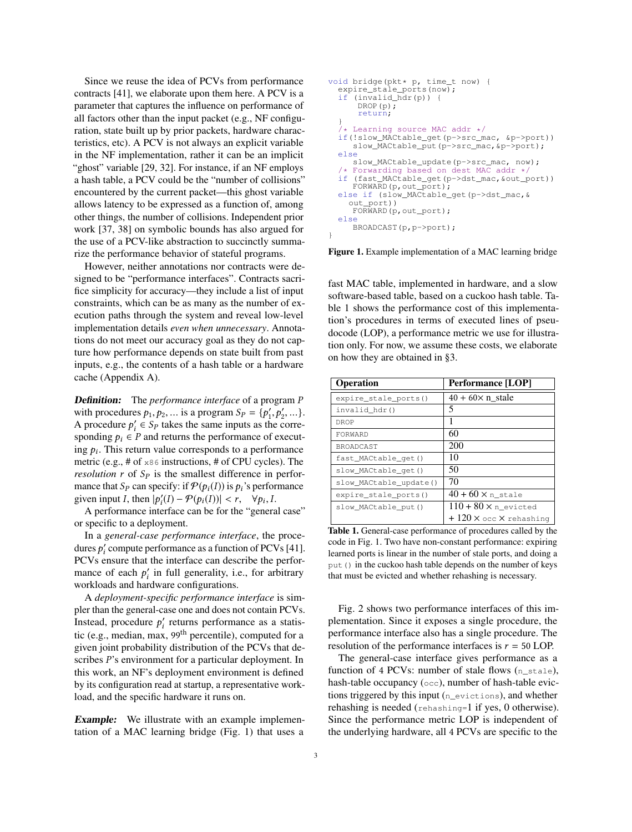Since we reuse the idea of PCVs from performance contracts [\[41\]](#page-14-10), we elaborate upon them here. A PCV is a parameter that captures the influence on performance of all factors other than the input packet (e.g., NF configuration, state built up by prior packets, hardware characteristics, etc). A PCV is not always an explicit variable in the NF implementation, rather it can be an implicit "ghost" variable [\[29,](#page-14-11) [32\]](#page-14-12). For instance, if an NF employs a hash table, a PCV could be the "number of collisions" encountered by the current packet—this ghost variable allows latency to be expressed as a function of, among other things, the number of collisions. Independent prior work [\[37,](#page-14-13) [38\]](#page-14-14) on symbolic bounds has also argued for the use of a PCV-like abstraction to succinctly summarize the performance behavior of stateful programs.

However, neither annotations nor contracts were designed to be "performance interfaces". Contracts sacrifice simplicity for accuracy—they include a list of input constraints, which can be as many as the number of execution paths through the system and reveal low-level implementation details *even when unnecessary*. Annotations do not meet our accuracy goal as they do not capture how performance depends on state built from past inputs, e.g., the contents of a hash table or a hardware cache (Appendix [A\)](#page-15-6).

Definition: The *performance interface* of a program P with procedures  $p_1, p_2, ...$  is a program  $S_p = \{p'_1, p'_2, ...\}$ .<br>A procedure  $p' \in S_p$  takes the same inputs as the corre-A procedure  $p'_i \in S_p$  takes the same inputs as the corresponding  $p_i \in P$  and returns the performance of executing  $p_i$ . This return value corresponds to a performance metric (e.g., # of x86 instructions, # of CPU cycles). The *resolution*  $r$  of  $S_p$  is the smallest difference in performance that  $S_p$  can specify: if  $\mathcal{P}(p_i(I))$  is  $p_i$ 's performance given input I, then  $|p'_i(I) - \mathcal{P}(p_i(I))| < r$ ,  $\forall p_i, I$ .<br>A performance interface can be for the "general"

A performance interface can be for the "general case" or specific to a deployment.

In a *general-case performance interface*, the procedures  $p'_i$  compute performance as a function of PCVs [\[41\]](#page-14-10). PCVs ensure that the interface can describe the performance of each  $p'_i$  in full generality, i.e., for arbitrary workloads and hardware configurations.

A *deployment-specific performance interface* is simpler than the general-case one and does not contain PCVs. Instead, procedure  $p'_i$  returns performance as a statistic (e.g., median, max, 99th percentile), computed for a given joint probability distribution of the PCVs that describes P's environment for a particular deployment. In this work, an NF's deployment environment is defined by its configuration read at startup, a representative workload, and the specific hardware it runs on.

**Example:** We illustrate with an example implementation of a MAC learning bridge (Fig. [1\)](#page-2-0) that uses a

```
void bridge(pkt* p, time_t now) {
  expire stale ports(now);
  if (invalid_hdr(p)) {
      DROP(p);return;
  }
   /* Learning source MAC addr */
  if(!slow_MACtable_get(p->src_mac, &p->port))
     slow_MACtable_put(p->src_mac,&p->port);
  else
  slow_MACtable_update(p->src_mac, now);
/* Forwarding based on dest MAC addr */
  if (fast_MACtable_get(p->dst_mac,&out_port))
     FORWARD(p,out_port);
  else if (slow_MACtable_get(p->dst_mac,&
    out_port))
     FORWARD(p, out port);
  else
     BROADCAST(p,p->port);
}
```
Figure 1. Example implementation of a MAC learning bridge

fast MAC table, implemented in hardware, and a slow software-based table, based on a cuckoo hash table. Table [1](#page-2-1) shows the performance cost of this implementation's procedures in terms of executed lines of pseudocode (LOP), a performance metric we use for illustration only. For now, we assume these costs, we elaborate on how they are obtained in [§3.](#page-4-0)

<span id="page-2-1"></span>

| <b>Operation</b>       | <b>Performance</b> [LOP]                         |
|------------------------|--------------------------------------------------|
| expire stale ports()   | $40 + 60 \times n$ stale                         |
| invalid hdr()          | 5                                                |
| DROP                   |                                                  |
| FORWARD                | 60                                               |
| BROADCAST              | 200                                              |
| fast_MACtable_get()    | 10                                               |
| slow_MACtable_get()    | 50                                               |
| slow_MACtable_update() | 70                                               |
| expire_stale_ports()   | $40 + 60 \times n$ stale                         |
| slow_MACtable_put()    | $110 + 80 \times n$ evicted                      |
|                        | $+120 \times \text{occ} \times \text{rehashing}$ |

Table 1. General-case performance of procedures called by the code in Fig. [1.](#page-2-0) Two have non-constant performance: expiring learned ports is linear in the number of stale ports, and doing a put () in the cuckoo hash table depends on the number of keys that must be evicted and whether rehashing is necessary.

Fig. [2](#page-3-0) shows two performance interfaces of this implementation. Since it exposes a single procedure, the performance interface also has a single procedure. The resolution of the performance interfaces is  $r = 50$  LOP.

The general-case interface gives performance as a function of 4 PCVs: number of stale flows  $(n$ <sup>\_stale</sup>), hash-table occupancy (occ), number of hash-table evictions triggered by this input (n\_evictions), and whether rehashing is needed (rehashing=1 if yes, 0 otherwise). Since the performance metric LOP is independent of the underlying hardware, all 4 PCVs are specific to the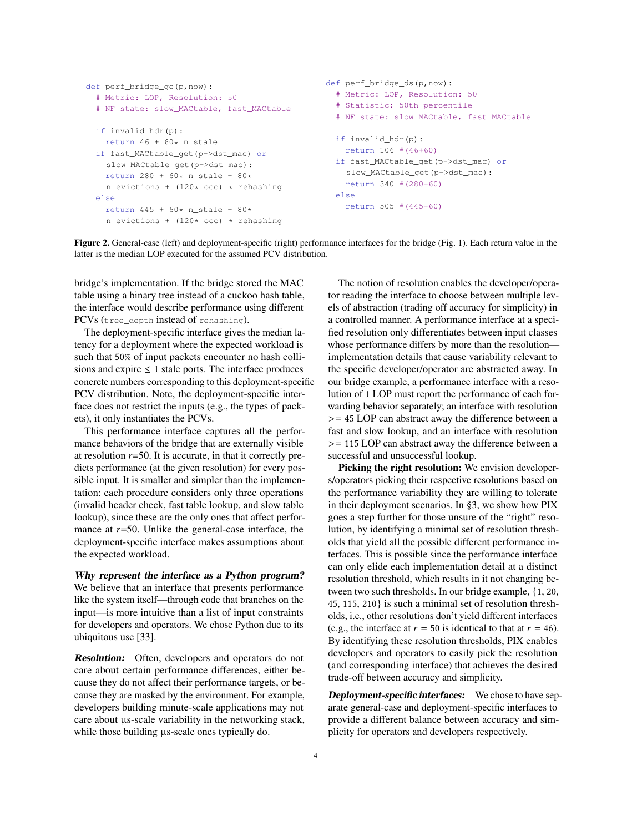```
def perf_bridge_gc(p,now):
  # Metric: LOP, Resolution: 50
  # NF state: slow_MACtable, fast_MACtable
  if invalid_hdr(p):
    return 46 + 60* n stale
  if fast_MACtable_get(p->dst_mac) or
    slow MACtable qet(p->dst mac):
    return 280 + 60* n_stale + 80*
    n<sub>evictions</sub> + (120* occ) * rehashing
  else
    return 445 + 60* n_stale + 80*
    n_evictions + (120* occ) * rehashing
                                                  def perf_bridge_ds(p,now):
                                                    # Metric: LOP, Resolution: 50
                                                     # Statistic: 50th percentile
                                                     # NF state: slow_MACtable, fast_MACtable
                                                    if invalid_hdr(p):
                                                       return 106 #(46+60)
                                                    if fast_MACtable_get(p->dst_mac) or
                                                       slow_MACtable_get(p->dst_mac):
                                                      return 340 #(280+60)
                                                    else
                                                       return 505 #(445+60)
```
Figure 2. General-case (left) and deployment-specific (right) performance interfaces for the bridge (Fig. [1\)](#page-2-0). Each return value in the latter is the median LOP executed for the assumed PCV distribution.

bridge's implementation. If the bridge stored the MAC table using a binary tree instead of a cuckoo hash table, the interface would describe performance using different PCVs (tree\_depth instead of rehashing).

The deployment-specific interface gives the median latency for a deployment where the expected workload is such that 50% of input packets encounter no hash collisions and expire  $\leq 1$  stale ports. The interface produces concrete numbers corresponding to this deployment-specific PCV distribution. Note, the deployment-specific interface does not restrict the inputs (e.g., the types of packets), it only instantiates the PCVs.

This performance interface captures all the performance behaviors of the bridge that are externally visible at resolution  $r=50$ . It is accurate, in that it correctly predicts performance (at the given resolution) for every possible input. It is smaller and simpler than the implementation: each procedure considers only three operations (invalid header check, fast table lookup, and slow table lookup), since these are the only ones that affect performance at  $r=50$ . Unlike the general-case interface, the deployment-specific interface makes assumptions about the expected workload.

Why represent the interface as a Python program? We believe that an interface that presents performance like the system itself—through code that branches on the input—is more intuitive than a list of input constraints for developers and operators. We chose Python due to its ubiquitous use [\[33\]](#page-14-15).

Resolution: Often, developers and operators do not care about certain performance differences, either because they do not affect their performance targets, or because they are masked by the environment. For example, developers building minute-scale applications may not care about µs-scale variability in the networking stack, while those building  $\mu$ s-scale ones typically do.

The notion of resolution enables the developer/operator reading the interface to choose between multiple levels of abstraction (trading off accuracy for simplicity) in a controlled manner. A performance interface at a specified resolution only differentiates between input classes whose performance differs by more than the resolution implementation details that cause variability relevant to the specific developer/operator are abstracted away. In our bridge example, a performance interface with a resolution of 1 LOP must report the performance of each forwarding behavior separately; an interface with resolution ><sup>=</sup> <sup>45</sup> LOP can abstract away the difference between a fast and slow lookup, and an interface with resolution ><sup>=</sup> <sup>115</sup> LOP can abstract away the difference between a successful and unsuccessful lookup.

Picking the right resolution: We envision developers/operators picking their respective resolutions based on the performance variability they are willing to tolerate in their deployment scenarios. In [§3,](#page-4-0) we show how PIX goes a step further for those unsure of the "right" resolution, by identifying a minimal set of resolution thresholds that yield all the possible different performance interfaces. This is possible since the performance interface can only elide each implementation detail at a distinct resolution threshold, which results in it not changing between two such thresholds. In our bridge example, {1, 20, 45, 115, 210} is such a minimal set of resolution thresholds, i.e., other resolutions don't yield different interfaces (e.g., the interface at  $r = 50$  is identical to that at  $r = 46$ ). By identifying these resolution thresholds, PIX enables developers and operators to easily pick the resolution (and corresponding interface) that achieves the desired trade-off between accuracy and simplicity.

Deployment-specific interfaces: We chose to have separate general-case and deployment-specific interfaces to provide a different balance between accuracy and simplicity for operators and developers respectively.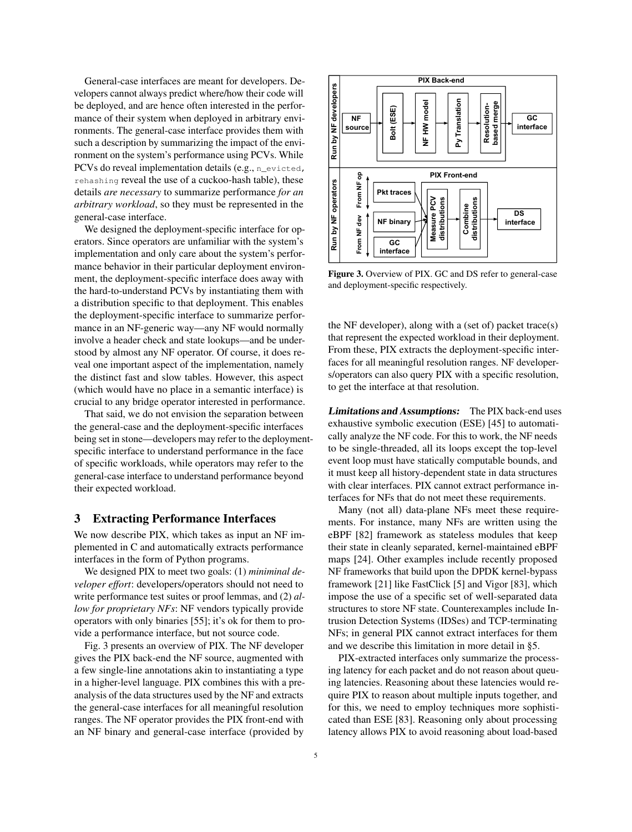General-case interfaces are meant for developers. Developers cannot always predict where/how their code will be deployed, and are hence often interested in the performance of their system when deployed in arbitrary environments. The general-case interface provides them with such a description by summarizing the impact of the environment on the system's performance using PCVs. While PCVs do reveal implementation details (e.g., n\_evicted, rehashing reveal the use of a cuckoo-hash table), these details *are necessary* to summarize performance *for an arbitrary workload*, so they must be represented in the general-case interface.

We designed the deployment-specific interface for operators. Since operators are unfamiliar with the system's implementation and only care about the system's performance behavior in their particular deployment environment, the deployment-specific interface does away with the hard-to-understand PCVs by instantiating them with a distribution specific to that deployment. This enables the deployment-specific interface to summarize performance in an NF-generic way—any NF would normally involve a header check and state lookups—and be understood by almost any NF operator. Of course, it does reveal one important aspect of the implementation, namely the distinct fast and slow tables. However, this aspect (which would have no place in a semantic interface) is crucial to any bridge operator interested in performance.

That said, we do not envision the separation between the general-case and the deployment-specific interfaces being set in stone—developers may refer to the deploymentspecific interface to understand performance in the face of specific workloads, while operators may refer to the general-case interface to understand performance beyond their expected workload.

# <span id="page-4-0"></span>3 Extracting Performance Interfaces

We now describe PIX, which takes as input an NF implemented in C and automatically extracts performance interfaces in the form of Python programs.

We designed PIX to meet two goals: (1) *miniminal developer effort*: developers/operators should not need to write performance test suites or proof lemmas, and (2) *allow for proprietary NFs*: NF vendors typically provide operators with only binaries [\[55\]](#page-14-16); it's ok for them to provide a performance interface, but not source code.

Fig. [3](#page-4-1) presents an overview of PIX. The NF developer gives the PIX back-end the NF source, augmented with a few single-line annotations akin to instantiating a type in a higher-level language. PIX combines this with a preanalysis of the data structures used by the NF and extracts the general-case interfaces for all meaningful resolution ranges. The NF operator provides the PIX front-end with an NF binary and general-case interface (provided by

<span id="page-4-1"></span>

Figure 3. Overview of PIX. GC and DS refer to general-case and deployment-specific respectively.

the NF developer), along with a (set of) packet trace(s) that represent the expected workload in their deployment. From these, PIX extracts the deployment-specific interfaces for all meaningful resolution ranges. NF developers/operators can also query PIX with a specific resolution, to get the interface at that resolution.

Limitations and Assumptions: The PIX back-end uses exhaustive symbolic execution (ESE) [\[45\]](#page-14-17) to automatically analyze the NF code. For this to work, the NF needs to be single-threaded, all its loops except the top-level event loop must have statically computable bounds, and it must keep all history-dependent state in data structures with clear interfaces. PIX cannot extract performance interfaces for NFs that do not meet these requirements.

Many (not all) data-plane NFs meet these requirements. For instance, many NFs are written using the eBPF [\[82\]](#page-15-2) framework as stateless modules that keep their state in cleanly separated, kernel-maintained eBPF maps [\[24\]](#page-14-18). Other examples include recently proposed NF frameworks that build upon the DPDK kernel-bypass framework [\[21\]](#page-14-9) like FastClick [\[5\]](#page-13-4) and Vigor [\[83\]](#page-15-7), which impose the use of a specific set of well-separated data structures to store NF state. Counterexamples include Intrusion Detection Systems (IDSes) and TCP-terminating NFs; in general PIX cannot extract interfaces for them and we describe this limitation in more detail in [§5.](#page-12-0)

PIX-extracted interfaces only summarize the processing latency for each packet and do not reason about queuing latencies. Reasoning about these latencies would require PIX to reason about multiple inputs together, and for this, we need to employ techniques more sophisticated than ESE [\[83\]](#page-15-7). Reasoning only about processing latency allows PIX to avoid reasoning about load-based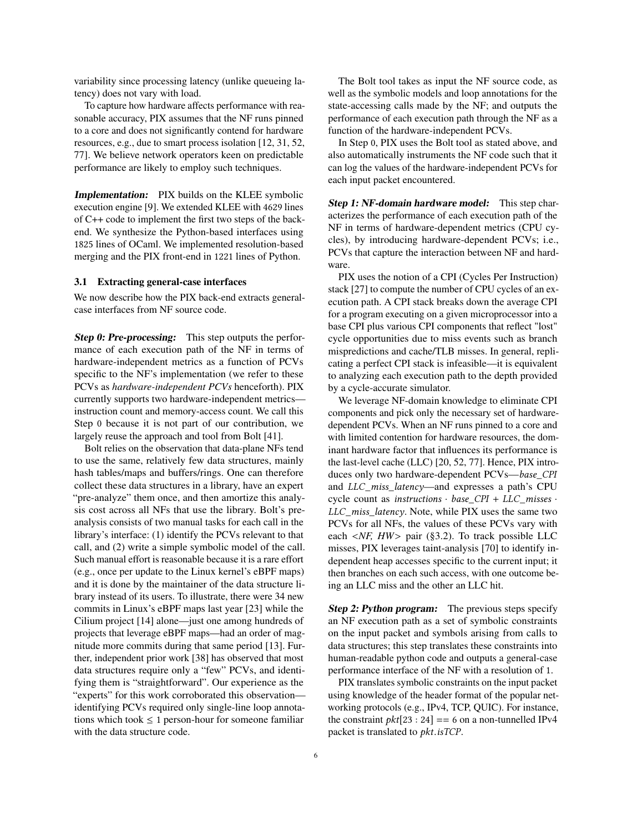variability since processing latency (unlike queueing latency) does not vary with load.

To capture how hardware affects performance with reasonable accuracy, PIX assumes that the NF runs pinned to a core and does not significantly contend for hardware resources, e.g., due to smart process isolation [\[12,](#page-13-1) [31,](#page-14-6) [52,](#page-14-7) [77\]](#page-15-0). We believe network operators keen on predictable performance are likely to employ such techniques.

Implementation: PIX builds on the KLEE symbolic execution engine [\[9\]](#page-13-5). We extended KLEE with 4629 lines of C++ code to implement the first two steps of the backend. We synthesize the Python-based interfaces using 1825 lines of OCaml. We implemented resolution-based merging and the PIX front-end in 1221 lines of Python.

#### 3.1 Extracting general-case interfaces

We now describe how the PIX back-end extracts generalcase interfaces from NF source code.

Step 0: Pre-processing: This step outputs the performance of each execution path of the NF in terms of hardware-independent metrics as a function of PCVs specific to the NF's implementation (we refer to these PCVs as *hardware-independent PCVs* henceforth). PIX currently supports two hardware-independent metrics instruction count and memory-access count. We call this Step 0 because it is not part of our contribution, we largely reuse the approach and tool from Bolt [\[41\]](#page-14-10).

Bolt relies on the observation that data-plane NFs tend to use the same, relatively few data structures, mainly hash tables/maps and buffers/rings. One can therefore collect these data structures in a library, have an expert "pre-analyze" them once, and then amortize this analysis cost across all NFs that use the library. Bolt's preanalysis consists of two manual tasks for each call in the library's interface: (1) identify the PCVs relevant to that call, and (2) write a simple symbolic model of the call. Such manual effort is reasonable because it is a rare effort (e.g., once per update to the Linux kernel's eBPF maps) and it is done by the maintainer of the data structure library instead of its users. To illustrate, there were 34 new commits in Linux's eBPF maps last year [\[23\]](#page-14-19) while the Cilium project [\[14\]](#page-13-2) alone—just one among hundreds of projects that leverage eBPF maps—had an order of magnitude more commits during that same period [\[13\]](#page-13-6). Further, independent prior work [\[38\]](#page-14-14) has observed that most data structures require only a "few" PCVs, and identifying them is "straightforward". Our experience as the "experts" for this work corroborated this observation identifying PCVs required only single-line loop annotations which took  $\leq 1$  person-hour for someone familiar with the data structure code.

The Bolt tool takes as input the NF source code, as well as the symbolic models and loop annotations for the state-accessing calls made by the NF; and outputs the performance of each execution path through the NF as a function of the hardware-independent PCVs.

In Step 0, PIX uses the Bolt tool as stated above, and also automatically instruments the NF code such that it can log the values of the hardware-independent PCVs for each input packet encountered.

Step 1: NF-domain hardware model: This step characterizes the performance of each execution path of the NF in terms of hardware-dependent metrics (CPU cycles), by introducing hardware-dependent PCVs; i.e., PCVs that capture the interaction between NF and hardware.

PIX uses the notion of a CPI (Cycles Per Instruction) stack [\[27\]](#page-14-20) to compute the number of CPU cycles of an execution path. A CPI stack breaks down the average CPI for a program executing on a given microprocessor into a base CPI plus various CPI components that reflect "lost" cycle opportunities due to miss events such as branch mispredictions and cache/TLB misses. In general, replicating a perfect CPI stack is infeasible—it is equivalent to analyzing each execution path to the depth provided by a cycle-accurate simulator.

We leverage NF-domain knowledge to eliminate CPI components and pick only the necessary set of hardwaredependent PCVs. When an NF runs pinned to a core and with limited contention for hardware resources, the dominant hardware factor that influences its performance is the last-level cache (LLC) [\[20,](#page-14-21) [52,](#page-14-7) [77\]](#page-15-0). Hence, PIX introduces only two hardware-dependent PCVs—base\_CPI and LLC\_miss\_latency—and expresses a path's CPU cycle count as instructions  $\cdot$  base CPI + LLC misses  $\cdot$ LLC\_miss\_latency. Note, while PIX uses the same two PCVs for all NFs, the values of these PCVs vary with each <*NF, HW*> pair ([§3.2\)](#page-6-0). To track possible LLC misses, PIX leverages taint-analysis [\[70\]](#page-15-8) to identify independent heap accesses specific to the current input; it then branches on each such access, with one outcome being an LLC miss and the other an LLC hit.

Step 2: Python program: The previous steps specify an NF execution path as a set of symbolic constraints on the input packet and symbols arising from calls to data structures; this step translates these constraints into human-readable python code and outputs a general-case performance interface of the NF with a resolution of 1.

PIX translates symbolic constraints on the input packet using knowledge of the header format of the popular networking protocols (e.g., IPv4, TCP, QUIC). For instance, the constraint  $pkt[23:24] == 6$  on a non-tunnelled IPv4 packet is translated to pkt.isTCP.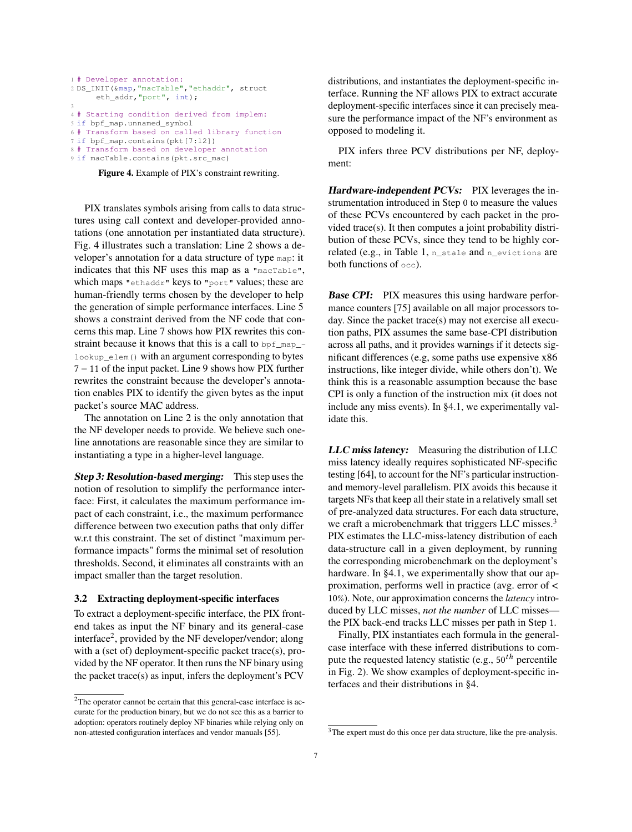```
1 # Developer annotation:
2 DS_INIT(&map,"macTable","ethaddr", struct
     eth_addr,"port", int);
3
4 # Starting condition derived from implem:
5 if bpf_map.unnamed_symbol
6 # Transform based on called library function
7 if bpf_map.contains(pkt[7:12])
8 # Transform based on developer annotation
```
9 if macTable.contains(pkt.src\_mac)

Figure 4. Example of PIX's constraint rewriting.

PIX translates symbols arising from calls to data structures using call context and developer-provided annotations (one annotation per instantiated data structure). Fig. [4](#page-6-1) illustrates such a translation: Line 2 shows a developer's annotation for a data structure of type map: it indicates that this NF uses this map as a "macTable", which maps "ethaddr" keys to "port" values; these are human-friendly terms chosen by the developer to help the generation of simple performance interfaces. Line 5 shows a constraint derived from the NF code that concerns this map. Line 7 shows how PIX rewrites this constraint because it knows that this is a call to bpf\_map\_lookup\_elem() with an argument corresponding to bytes 7 − 11 of the input packet. Line 9 shows how PIX further rewrites the constraint because the developer's annotation enables PIX to identify the given bytes as the input packet's source MAC address.

The annotation on Line 2 is the only annotation that the NF developer needs to provide. We believe such oneline annotations are reasonable since they are similar to instantiating a type in a higher-level language.

Step 3: Resolution-based merging: This step uses the notion of resolution to simplify the performance interface: First, it calculates the maximum performance impact of each constraint, i.e., the maximum performance difference between two execution paths that only differ w.r.t this constraint. The set of distinct "maximum performance impacts" forms the minimal set of resolution thresholds. Second, it eliminates all constraints with an impact smaller than the target resolution.

#### <span id="page-6-0"></span>3.2 Extracting deployment-specific interfaces

To extract a deployment-specific interface, the PIX frontend takes as input the NF binary and its general-case interface<sup>[2](#page-0-0)</sup>, provided by the NF developer/vendor; along with a (set of) deployment-specific packet trace(s), provided by the NF operator. It then runs the NF binary using the packet trace(s) as input, infers the deployment's PCV

distributions, and instantiates the deployment-specific interface. Running the NF allows PIX to extract accurate deployment-specific interfaces since it can precisely measure the performance impact of the NF's environment as opposed to modeling it.

PIX infers three PCV distributions per NF, deployment:

Hardware-independent PCVs: PIX leverages the instrumentation introduced in Step 0 to measure the values of these PCVs encountered by each packet in the provided trace(s). It then computes a joint probability distribution of these PCVs, since they tend to be highly cor-related (e.g., in Table [1,](#page-2-1)  $n$  stale and  $n$  evictions are both functions of occ).

**Base CPI:** PIX measures this using hardware performance counters [\[75\]](#page-15-9) available on all major processors today. Since the packet trace(s) may not exercise all execution paths, PIX assumes the same base-CPI distribution across all paths, and it provides warnings if it detects significant differences (e.g, some paths use expensive x86 instructions, like integer divide, while others don't). We think this is a reasonable assumption because the base CPI is only a function of the instruction mix (it does not include any miss events). In [§4.1,](#page-7-1) we experimentally validate this.

LLC miss latency: Measuring the distribution of LLC miss latency ideally requires sophisticated NF-specific testing [\[64\]](#page-15-3), to account for the NF's particular instructionand memory-level parallelism. PIX avoids this because it targets NFs that keep all their state in a relatively small set of pre-analyzed data structures. For each data structure, we craft a microbenchmark that triggers LLC misses.<sup>[3](#page-0-0)</sup> PIX estimates the LLC-miss-latency distribution of each data-structure call in a given deployment, by running the corresponding microbenchmark on the deployment's hardware. In [§4.1,](#page-7-1) we experimentally show that our approximation, performs well in practice (avg. error of < 10%). Note, our approximation concerns the *latency* introduced by LLC misses, *not the number* of LLC misses the PIX back-end tracks LLC misses per path in Step 1.

Finally, PIX instantiates each formula in the generalcase interface with these inferred distributions to compute the requested latency statistic (e.g.,  $50^{th}$  percentile in Fig. [2\)](#page-3-0). We show examples of deployment-specific interfaces and their distributions in [§4.](#page-7-0)

<sup>&</sup>lt;sup>2</sup>The operator cannot be certain that this general-case interface is accurate for the production binary, but we do not see this as a barrier to adoption: operators routinely deploy NF binaries while relying only on non-attested configuration interfaces and vendor manuals [\[55\]](#page-14-16).

<sup>&</sup>lt;sup>3</sup>The expert must do this once per data structure, like the pre-analysis.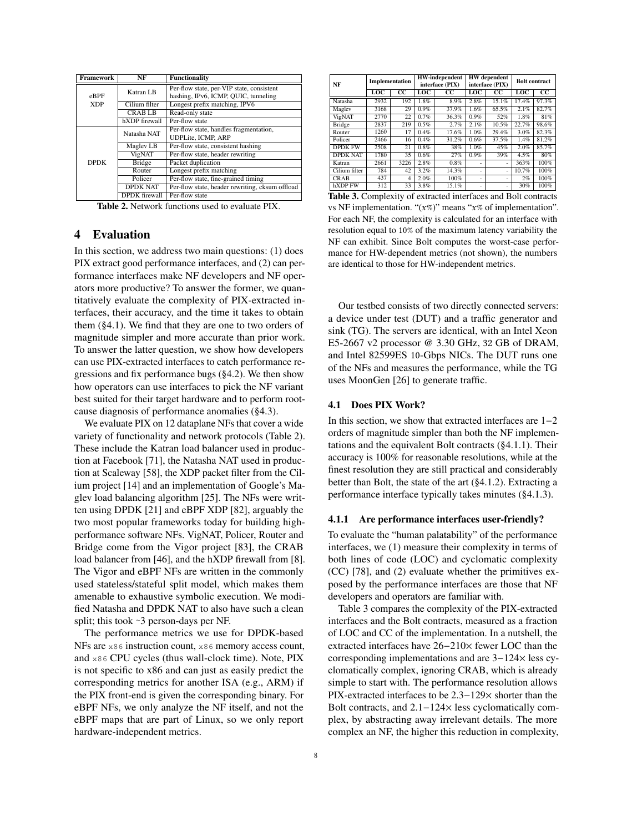<span id="page-7-2"></span>

| <b>Framework</b> | NF                   | <b>Functionality</b>                            |
|------------------|----------------------|-------------------------------------------------|
|                  | Katran LB            | Per-flow state, per-VIP state, consistent       |
| $e$ BPF          |                      | hashing, IPv6, ICMP, QUIC, tunneling            |
| <b>XDP</b>       | Cilium filter        | Longest prefix matching, IPV6                   |
|                  | <b>CRABLB</b>        | Read-only state                                 |
|                  | hXDP firewall        | Per-flow state                                  |
|                  | Natasha NAT          | Per-flow state, handles fragmentation,          |
|                  |                      | <b>UDPLite, ICMP, ARP</b>                       |
|                  | Maglev LB            | Per-flow state, consistent hashing              |
|                  | VigNAT               | Per-flow state, header rewriting                |
| <b>DPDK</b>      | <b>Bridge</b>        | Packet duplication                              |
|                  | Router               | Longest prefix matching                         |
|                  | Policer              | Per-flow state, fine-grained timing             |
|                  | <b>DPDK NAT</b>      | Per-flow state, header rewriting, cksum offload |
|                  | <b>DPDK</b> firewall | Per-flow state                                  |

Table 2. Network functions used to evaluate PIX.

# <span id="page-7-0"></span>4 Evaluation

In this section, we address two main questions: (1) does PIX extract good performance interfaces, and (2) can performance interfaces make NF developers and NF operators more productive? To answer the former, we quantitatively evaluate the complexity of PIX-extracted interfaces, their accuracy, and the time it takes to obtain them ([§4.1\)](#page-7-1). We find that they are one to two orders of magnitude simpler and more accurate than prior work. To answer the latter question, we show how developers can use PIX-extracted interfaces to catch performance regressions and fix performance bugs ([§4.2\)](#page-10-0). We then show how operators can use interfaces to pick the NF variant best suited for their target hardware and to perform rootcause diagnosis of performance anomalies ([§4.3\)](#page-11-0).

We evaluate PIX on 12 dataplane NFs that cover a wide variety of functionality and network protocols (Table [2\)](#page-7-2). These include the Katran load balancer used in production at Facebook [\[71\]](#page-15-1), the Natasha NAT used in production at Scaleway [\[58\]](#page-14-8), the XDP packet filter from the Cilium project [\[14\]](#page-13-2) and an implementation of Google's Maglev load balancing algorithm [\[25\]](#page-14-22). The NFs were written using DPDK [\[21\]](#page-14-9) and eBPF XDP [\[82\]](#page-15-2), arguably the two most popular frameworks today for building highperformance software NFs. VigNAT, Policer, Router and Bridge come from the Vigor project [\[83\]](#page-15-7), the CRAB load balancer from [\[46\]](#page-14-23), and the hXDP firewall from [\[8\]](#page-13-7). The Vigor and eBPF NFs are written in the commonly used stateless/stateful split model, which makes them amenable to exhaustive symbolic execution. We modified Natasha and DPDK NAT to also have such a clean split; this took ∼3 person-days per NF.

The performance metrics we use for DPDK-based NFs are x86 instruction count, x86 memory access count, and x86 CPU cycles (thus wall-clock time). Note, PIX is not specific to x86 and can just as easily predict the corresponding metrics for another ISA (e.g., ARM) if the PIX front-end is given the corresponding binary. For eBPF NFs, we only analyze the NF itself, and not the eBPF maps that are part of Linux, so we only report hardware-independent metrics.

<span id="page-7-4"></span>

| NF              | Implementation |                        | <b>HW-independent</b><br>interface (PIX) |                 | <b>HW</b> dependent<br>interface (PIX) |                        | <b>Bolt</b> contract |         |
|-----------------|----------------|------------------------|------------------------------------------|-----------------|----------------------------------------|------------------------|----------------------|---------|
|                 | LOC            | $\overline{\text{cc}}$ | LOC                                      | $\overline{cc}$ | LOC                                    | $\overline{\text{cc}}$ | $_{\text{LOC}}$      | $_{cc}$ |
| Natasha         | 2932           | 192                    | 1.8%                                     | 8.9%            | 2.8%                                   | 15.1%                  | 17.4%                | 97.3%   |
| Maglev          | 3168           | 29                     | 0.9%                                     | 37.9%           | 1.6%                                   | 65.5%                  | 2.1%                 | 82.7%   |
| VigNAT          | 2770           | 22                     | 0.7%                                     | 36.3%           | $0.9\%$                                | 52%                    | 1.8%                 | 81%     |
| <b>Bridge</b>   | 2837           | 219                    | 0.5%                                     | 2.7%            | 2.1%                                   | 10.5%                  | 22.7%                | 98.6%   |
| Router          | 1260           | 17                     | 0.4%                                     | 17.6%           | 1.0%                                   | 29.4%                  | 3.0%                 | 82.3%   |
| Policer         | 2466           | 16                     | 0.4%                                     | 31.2%           | 0.6%                                   | 37.5%                  | 1.4%                 | 81.2%   |
| <b>DPDK FW</b>  | 2508           | 21                     | 0.8%                                     | 38%             | 1.0%                                   | 45%                    | 2.0%                 | 85.7%   |
| <b>DPDK NAT</b> | 1780           | 35                     | 0.6%                                     | 27%             | $0.9\%$                                | 39%                    | 4.5%                 | 80%     |
| Katran          | 2661           | 3226                   | 2.8%                                     | 0.8%            |                                        | ۰                      | 363%                 | 100%    |
| Cilium filter   | 784            | 42                     | 3.2%                                     | 14.3%           | ۰                                      | ٠                      | 10.7%                | 100%    |
| <b>CRAB</b>     | 437            | $\overline{4}$         | 2.0%                                     | 100%            | ۰                                      | ٠                      | 2%                   | 100%    |
| hXDP FW         | 312            | 33                     | 3.8%                                     | 15.1%           | ۰                                      | ٠                      | 30%                  | 100%    |

Table 3. Complexity of extracted interfaces and Bolt contracts vs NF implementation. " $(x\%)$ " means " $x\%$  of implementation". For each NF, the complexity is calculated for an interface with resolution equal to 10% of the maximum latency variability the NF can exhibit. Since Bolt computes the worst-case performance for HW-dependent metrics (not shown), the numbers are identical to those for HW-independent metrics.

Our testbed consists of two directly connected servers: a device under test (DUT) and a traffic generator and sink (TG). The servers are identical, with an Intel Xeon E5-2667 v2 processor @ 3.30 GHz, 32 GB of DRAM, and Intel 82599ES 10-Gbps NICs. The DUT runs one of the NFs and measures the performance, while the TG uses MoonGen [\[26\]](#page-14-24) to generate traffic.

#### <span id="page-7-1"></span>4.1 Does PIX Work?

In this section, we show that extracted interfaces are 1−2 orders of magnitude simpler than both the NF implementations and the equivalent Bolt contracts ([§4.1.1\)](#page-7-3). Their accuracy is 100% for reasonable resolutions, while at the finest resolution they are still practical and considerably better than Bolt, the state of the art ([§4.1.2\)](#page-8-0). Extracting a performance interface typically takes minutes ([§4.1.3\)](#page-10-1).

#### <span id="page-7-3"></span>4.1.1 Are performance interfaces user-friendly?

To evaluate the "human palatability" of the performance interfaces, we (1) measure their complexity in terms of both lines of code (LOC) and cyclomatic complexity (CC) [\[78\]](#page-15-10), and (2) evaluate whether the primitives exposed by the performance interfaces are those that NF developers and operators are familiar with.

Table [3](#page-7-4) compares the complexity of the PIX-extracted interfaces and the Bolt contracts, measured as a fraction of LOC and CC of the implementation. In a nutshell, the extracted interfaces have 26−210× fewer LOC than the corresponding implementations and are 3−124× less cyclomatically complex, ignoring CRAB, which is already simple to start with. The performance resolution allows PIX-extracted interfaces to be 2.3−129× shorter than the Bolt contracts, and 2.1−124× less cyclomatically complex, by abstracting away irrelevant details. The more complex an NF, the higher this reduction in complexity,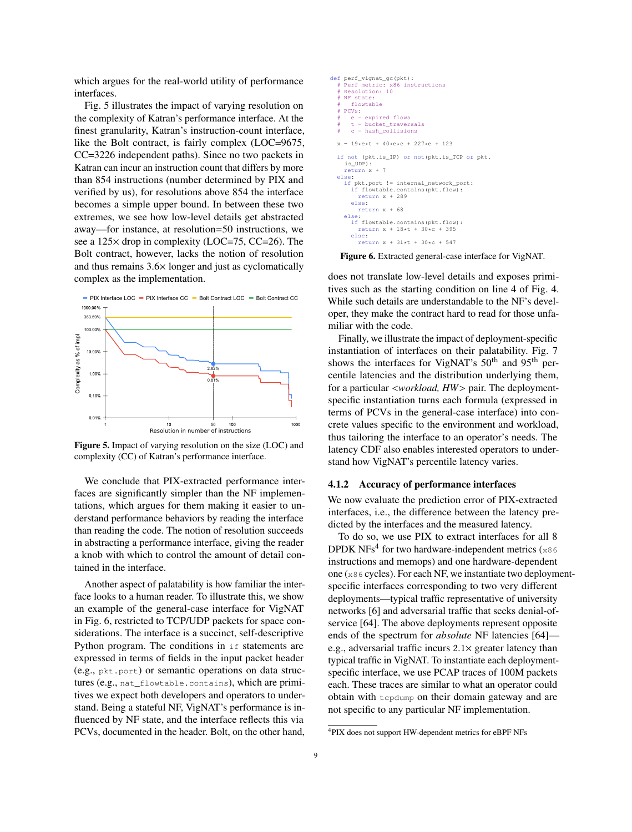which argues for the real-world utility of performance interfaces.

Fig. [5](#page-8-1) illustrates the impact of varying resolution on the complexity of Katran's performance interface. At the finest granularity, Katran's instruction-count interface, like the Bolt contract, is fairly complex (LOC=9675, CC=3226 independent paths). Since no two packets in Katran can incur an instruction count that differs by more than 854 instructions (number determined by PIX and verified by us), for resolutions above 854 the interface becomes a simple upper bound. In between these two extremes, we see how low-level details get abstracted away—for instance, at resolution=50 instructions, we see a 125× drop in complexity (LOC=75, CC=26). The Bolt contract, however, lacks the notion of resolution and thus remains 3.6× longer and just as cyclomatically complex as the implementation.

<span id="page-8-1"></span>

Figure 5. Impact of varying resolution on the size (LOC) and complexity (CC) of Katran's performance interface.

We conclude that PIX-extracted performance interfaces are significantly simpler than the NF implementations, which argues for them making it easier to understand performance behaviors by reading the interface than reading the code. The notion of resolution succeeds in abstracting a performance interface, giving the reader a knob with which to control the amount of detail contained in the interface.

Another aspect of palatability is how familiar the interface looks to a human reader. To illustrate this, we show an example of the general-case interface for VigNAT in Fig. [6,](#page-8-2) restricted to TCP/UDP packets for space considerations. The interface is a succinct, self-descriptive Python program. The conditions in  $if$  statements are expressed in terms of fields in the input packet header (e.g., pkt.port) or semantic operations on data structures (e.g., nat\_flowtable.contains), which are primitives we expect both developers and operators to understand. Being a stateful NF, VigNAT's performance is influenced by NF state, and the interface reflects this via PCVs, documented in the header. Bolt, on the other hand,

<span id="page-8-2"></span>

Figure 6. Extracted general-case interface for VigNAT.

does not translate low-level details and exposes primitives such as the starting condition on line 4 of Fig. [4.](#page-6-1) While such details are understandable to the NF's developer, they make the contract hard to read for those unfamiliar with the code.

Finally, we illustrate the impact of deployment-specific instantiation of interfaces on their palatability. Fig. [7](#page-9-0) shows the interfaces for VigNAT's 50<sup>th</sup> and 95<sup>th</sup> percentile latencies and the distribution underlying them, for a particular <*workload, HW*> pair. The deploymentspecific instantiation turns each formula (expressed in terms of PCVs in the general-case interface) into concrete values specific to the environment and workload, thus tailoring the interface to an operator's needs. The latency CDF also enables interested operators to understand how VigNAT's percentile latency varies.

## <span id="page-8-0"></span>4.1.2 Accuracy of performance interfaces

We now evaluate the prediction error of PIX-extracted interfaces, i.e., the difference between the latency predicted by the interfaces and the measured latency.

To do so, we use PIX to extract interfaces for all 8 DPDK NFs<sup>[4](#page-0-0)</sup> for two hardware-independent metrics ( $\times$ 86 instructions and memops) and one hardware-dependent one (x86 cycles). For each NF, we instantiate two deploymentspecific interfaces corresponding to two very different deployments—typical traffic representative of university networks [\[6\]](#page-13-8) and adversarial traffic that seeks denial-ofservice [\[64\]](#page-15-3). The above deployments represent opposite ends of the spectrum for *absolute* NF latencies [\[64\]](#page-15-3) e.g., adversarial traffic incurs  $2.1\times$  greater latency than typical traffic in VigNAT. To instantiate each deploymentspecific interface, we use PCAP traces of 100M packets each. These traces are similar to what an operator could obtain with tcpdump on their domain gateway and are not specific to any particular NF implementation.

<sup>4</sup>PIX does not support HW-dependent metrics for eBPF NFs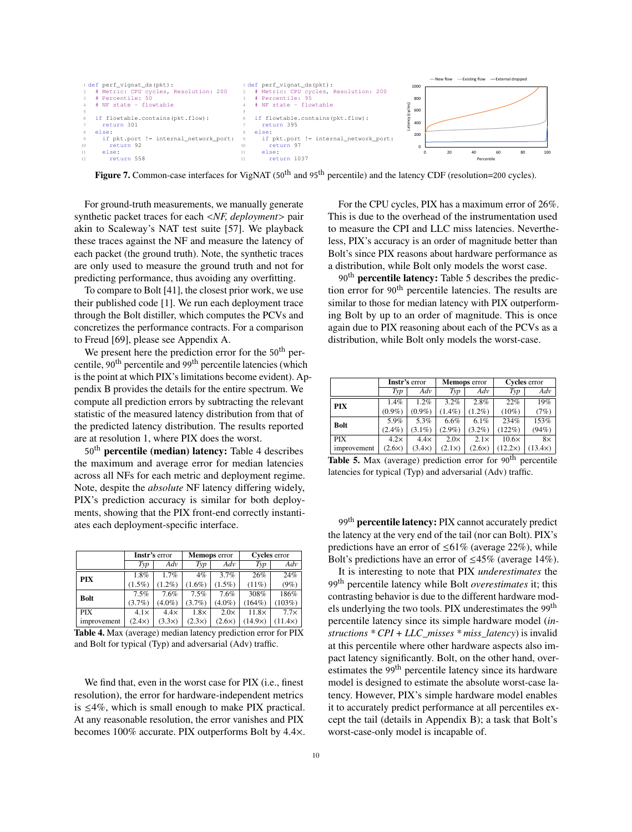<span id="page-9-0"></span>

Figure 7. Common-case interfaces for VigNAT (50<sup>th</sup> and 95<sup>th</sup> percentile) and the latency CDF (resolution=200 cycles).

For ground-truth measurements, we manually generate synthetic packet traces for each <*NF, deployment*> pair<br>akin to Scaleway's NAT test suite [57]. We playback akin to Scaleway's NAT test suite [\[57\]](#page-14-25). We playback these traces against the NF and measure the latency of for a packet (the ground truth). Note, the synthetic traces<br>are only used to measure the ground truth and not for are only used to measure the ground truth and not for predicting performance, thus avoiding any overfitting.

To compare to Bolt [41], the closest prior work, we use their published code [1]. We run each deployment trace through the Bolt distiller, which computes the PCVs and concretizes the performance contracts. For a comparison to Freud [\[69\]](#page-15-5), please see Appendix [A.](#page-15-6)

We present here the prediction error for the 50<sup>th</sup> percentile, 90<sup>th</sup> percentile and 99<sup>th</sup> percentile latencies (which is the point at which PIX's limitations become evident). Ap-pendix [B](#page-16-0) provides the details for the entire spectrum. We compute all prediction errors by subtracting the relevant statistic of the measured latency distribution from that of the predicted latency distribution. The results reported are at resolution 1, where PIX does the worst.

are at resolution 1, where FTA does the worst.<br>50<sup>th</sup> percentile (median) latency: Table [4](#page-9-1) describes borrelation (included). Factory, radic 4 desertions the maximum and average error for median latencies across all NFs for each metric and deployment regime. deployment regime.<br>Note, despite the *absolute* NF latency differing widely, FOR, asspire the *absolute* TV factory directing widely, PIX's prediction accuracy is similar for both deploy-The service deployments, showing that the PIX front-end correctly instantiments, showing that the 11x from end correctly instant ates each deployment-specific interface.

<span id="page-9-1"></span>

|             | <b>Instr's error</b> |               |               | <b>Memops</b> error | Cycles error   |                |  |
|-------------|----------------------|---------------|---------------|---------------------|----------------|----------------|--|
|             | Typ                  | Adv           | Typ           | Adv                 | Typ            | Adv            |  |
| <b>PIX</b>  | 1.8%                 | 1.7%          | $4\%$         | 3.7%                | 26%            | 24%            |  |
|             | $(1.5\%)$            | $(1.2\%)$     | $(1.6\%)$     | $(1.5\%)$           | (11%)          | (9%)           |  |
| <b>Bolt</b> | 7.5%                 | 7.6%          | 7.5%          | 7.6%                | 308%           | 186%           |  |
|             | $(3.7\%)$            | $(4.0\%)$     | $(3.7\%)$     | $(4.0\%)$           | $(164\%)$      | (103%)         |  |
| <b>PIX</b>  | $4.1\times$          | $4.4\times$   | $1.8\times$   | $2.0\times$         | $11.8\times$   | $7.7\times$    |  |
| improvement | (2.4x)               | $(3.3\times)$ | $(2.3\times)$ | $(2.6\times)$       | $(14.9\times)$ | $(11.4\times)$ |  |

Table 4. Max (average) median latency prediction error for PIX<br>and Bolt for typical (Typ) and adversarial (Adv) traffic and Bolt for typical (Typ) and adversarial (Adv) traffic.

resolution), the error for hardware-independent metrics We find that, even in the worst case for PIX (i.e., finest is  $\leq 4\%$ , which is small enough to make PIX practical. At any reasonable resolution, the error vanishes and PIX becomes 100% accurate. PIX outperforms Bolt by 4.4×. For the CPU cycles, PIX has a maximum error of 26%. This is due to the overhead of the instrumentation used to measure the CPI and LLC miss latencies. Nevertheless, PIX's accuracy is an order of magnitude better than Bolt's since PIX reasons about hardware performance as a distribution, while Bolt only models the worst case.

 $190<sup>th</sup>$  percentile latency: Table 5 describes the prediction error for 90<sup>th</sup> percentile latencies. The results are similar to those for median latency with PIX outperforming Bolt by up to an order of magnitude. This is once again due to PIX reasoning about each of the PCVs as a distribution, while Bolt only models the worst-case.

<span id="page-9-2"></span>

|             | Instr's error |               |               | <b>Memops</b> error | Cycles error |           |  |
|-------------|---------------|---------------|---------------|---------------------|--------------|-----------|--|
|             | Typ           | Adv           | Typ           | Adv                 | Typ          | Adv       |  |
| <b>PIX</b>  | 1.4%          | 1.2%          | 3.2%          | 2.8%                | 22%          | 19%       |  |
|             | $(0.9\%)$     | $(0.9\%)$     | $(1.4\%)$     | $(1.2\%)$           | $(10\%)$     | (7%)      |  |
| <b>Bolt</b> | 5.9%          | 5.3%          | $6.6\%$       | 6.1%                | 234%         | 153%      |  |
|             | $(2.4\%)$     | $(3.1\%)$     | $(2.9\%)$     | $(3.2\%)$           | $(122\%)$    | (94%)     |  |
| <b>PIX</b>  | $4.2\times$   | $4.4\times$   | $2.0\times$   | $2.1\times$         | $10.6\times$ | $8\times$ |  |
| improvement | $(2.6\times)$ | $(3.4\times)$ | $(2.1\times)$ | $(2.6\times)$       | $12.2\times$ | (13.4x)   |  |

 $\frac{\text{Improvement } (2.6\times) + (3.4\times) + (2.1\times) + (2.6\times) + (12.2\times) + (13.4\times) + (13.4\times) + (13.4\times) + (13.4\times) + (13.4\times) + (13.4\times) + (13.4\times) + (13.4\times) + (13.4\times) + (13.4\times) + (13.4\times) + (13.4\times) + (13.4\times) + (13.4\times) + (13.4\times) + (13.4\times) + (13.4\times) + (13.4\times) + (13.4\times)$ latencies for typical (Typ) and adversarial (Adv) traffic.

99<sup>th</sup> percentile latency: PIX cannot accurately predict Some **percentification**: FIX cannot accurately predict the latency at the very end of the tail (nor can Bolt). PIX's predictions have an error of  $\leq 61\%$  (average 22%), while Bolt's predictions have an error of  $\leq 45\%$  (average 14%).

 $\mathcal{P}_1$  is the set of  $\mathcal{P}_2$  . The set of  $\mathcal{P}_3$  and  $\mathcal{P}_4$  is the set of  $\mathcal{P}_4$  .

It is interesting to note that PIX *underestimates* the and Bolt *overestimates* the adversariation of the material (Adv) traffices the position of  $99<sup>th</sup>$  percentile latency while Bolt *overestimates* it; this percentile latency since its simple hardware model (*instructions \* CPI + LLC\_misses \* miss\_latency*) is invalid at this percentile where other hardware aspects also impact latency significantly. Bolt, on the other hand, overestimates the 99<sup>th</sup> percentile latency since its hardware model is designed to estimate the absolute worst-case latency. However, PIX's simple hardware model enables contrasting behavior is due to the different hardware models underlying the two tools. PIX underestimates the 99<sup>th</sup> it to accurately predict performance at all percentiles except the tail (details in Appendix [B\)](#page-16-0); a task that Bolt's worst-case-only model is incapable of.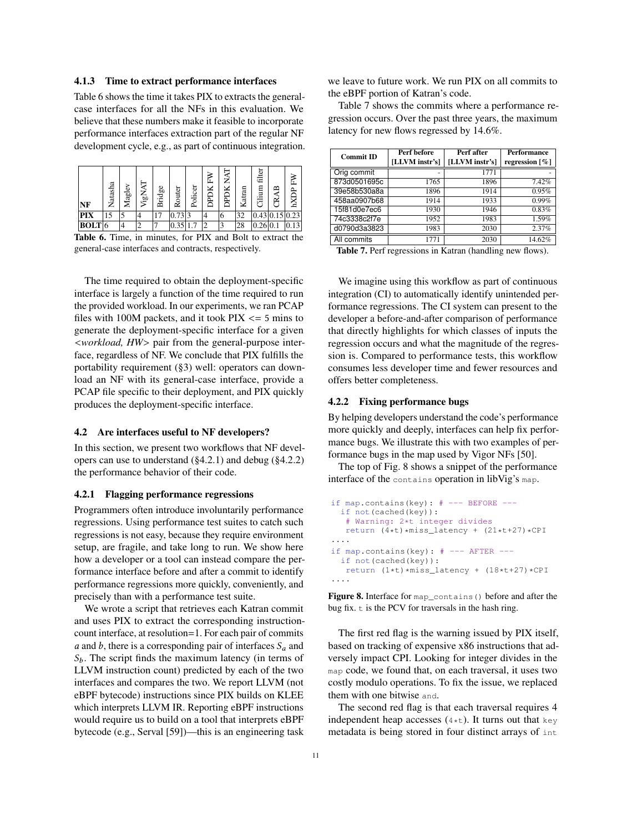#### <span id="page-10-1"></span>4.1.3 Time to extract performance interfaces

Table [6](#page-10-2) shows the time it takes PIX to extracts the generalcase interfaces for all the NFs in this evaluation. We believe that these numbers make it feasible to incorporate performance interfaces extraction part of the regular NF development cycle, e.g., as part of continuous integration.

<span id="page-10-2"></span>

| NF     | Natasha | ₹<br>Magl | ২<br>VigN | g6<br>ℸ<br>re.<br>₫ | outer<br>$\tilde{\phantom{a}}$ | Policer |   | न<br>स्रो | ឣ<br>Katr | filter<br>Cilium | ≃<br>≃ | c    |
|--------|---------|-----------|-----------|---------------------|--------------------------------|---------|---|-----------|-----------|------------------|--------|------|
| PIX    | 15      |           |           |                     | 0.73 3                         |         |   | O         | 32        | 0.43 0.15 0.23   |        |      |
| BOLT 6 |         |           | ◠         |                     | 0.35 1.7                       | 7       | C |           | 28        | 0.26 0.1         |        | 0.13 |

Table 6. Time, in minutes, for PIX and Bolt to extract the general-case interfaces and contracts, respectively.

The time required to obtain the deployment-specific interface is largely a function of the time required to run the provided workload. In our experiments, we ran PCAP files with 100M packets, and it took  $\text{PIX} \leq 5 \text{ mins}$  to generate the deployment-specific interface for a given <*workload, HW*> pair from the general-purpose interface, regardless of NF. We conclude that PIX fulfills the portability requirement ([§3\)](#page-4-0) well: operators can download an NF with its general-case interface, provide a PCAP file specific to their deployment, and PIX quickly produces the deployment-specific interface.

#### <span id="page-10-0"></span>4.2 Are interfaces useful to NF developers?

In this section, we present two workflows that NF developers can use to understand ([§4.2.1\)](#page-10-3) and debug ([§4.2.2\)](#page-10-4) the performance behavior of their code.

#### <span id="page-10-3"></span>4.2.1 Flagging performance regressions

Programmers often introduce involuntarily performance regressions. Using performance test suites to catch such regressions is not easy, because they require environment setup, are fragile, and take long to run. We show here how a developer or a tool can instead compare the performance interface before and after a commit to identify performance regressions more quickly, conveniently, and precisely than with a performance test suite.

We wrote a script that retrieves each Katran commit and uses PIX to extract the corresponding instructioncount interface, at resolution=1. For each pair of commits a and b, there is a corresponding pair of interfaces  $S_a$  and  $S_b$ . The script finds the maximum latency (in terms of LLVM instruction count) predicted by each of the two interfaces and compares the two. We report LLVM (not eBPF bytecode) instructions since PIX builds on KLEE which interprets LLVM IR. Reporting eBPF instructions would require us to build on a tool that interprets eBPF bytecode (e.g., Serval [\[59\]](#page-14-26))—this is an engineering task we leave to future work. We run PIX on all commits to the eBPF portion of Katran's code.

Table [7](#page-10-5) shows the commits where a performance regression occurs. Over the past three years, the maximum latency for new flows regressed by 14.6%.

<span id="page-10-5"></span>

| <b>Commit ID</b> | Perf before    | Perf after     | <b>Performance</b>            |  |
|------------------|----------------|----------------|-------------------------------|--|
|                  | [LLVM instr's] | [LLVM instr's] | regression $\lceil \% \rceil$ |  |
| Orig commit      |                | 1771           |                               |  |
| 873d0501695c     | 1765           | 1896           | 7.42%                         |  |
| 39e58b530a8a     | 1896           | 1914           | 0.95%                         |  |
| 458aa0907b68     | 1914           | 1933           | 0.99%                         |  |
| 15f81d0e7ec6     | 1930           | 1946           | 0.83%                         |  |
| 74c3338c2f7e     | 1952           | 1983           | 1.59%                         |  |
| d0790d3a3823     | 1983           | 2030           | 2.37%                         |  |
| All commits      | 1771           | 2030           | 14.62%                        |  |

Table 7. Perf regressions in Katran (handling new flows).

We imagine using this workflow as part of continuous integration (CI) to automatically identify unintended performance regressions. The CI system can present to the developer a before-and-after comparison of performance that directly highlights for which classes of inputs the regression occurs and what the magnitude of the regression is. Compared to performance tests, this workflow consumes less developer time and fewer resources and offers better completeness.

#### <span id="page-10-4"></span>4.2.2 Fixing performance bugs

By helping developers understand the code's performance more quickly and deeply, interfaces can help fix performance bugs. We illustrate this with two examples of performance bugs in the map used by Vigor NFs [\[50\]](#page-14-27).

The top of Fig. [8](#page-10-6) shows a snippet of the performance interface of the contains operation in libVig's map.

```
if map.contains(key): # --- BEFORE ---
  if not(cached(key)):
   # Warning: 2*t integer divides
  return (4*t)*miss_latency + (21*t+27)*CPI....
if map.contains(key): # --- AFTER ---
  if not(cached(key)):
  return (1*t) *miss\_latency + (18*t+27)*CPI....
```
Figure 8. Interface for map\_contains() before and after the bug fix.  $t$  is the PCV for traversals in the hash ring.

The first red flag is the warning issued by PIX itself, based on tracking of expensive x86 instructions that adversely impact CPI. Looking for integer divides in the map code, we found that, on each traversal, it uses two costly modulo operations. To fix the issue, we replaced them with one bitwise and.

The second red flag is that each traversal requires 4 independent heap accesses  $(4*t)$ . It turns out that key metadata is being stored in four distinct arrays of int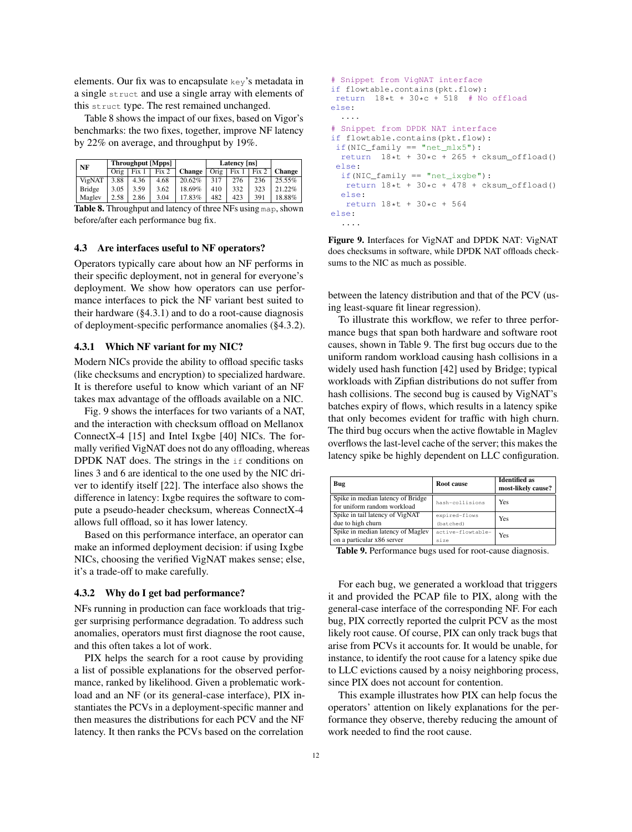elements. Our fix was to encapsulate key's metadata in a single struct and use a single array with elements of this struct type. The rest remained unchanged.

Table [8](#page-11-1) shows the impact of our fixes, based on Vigor's benchmarks: the two fixes, together, improve NF latency by 22% on average, and throughput by 19%.

<span id="page-11-1"></span>

| NF |        |      |       | Throughput [Mpps] |               | Latency [ns] |       |       |        |
|----|--------|------|-------|-------------------|---------------|--------------|-------|-------|--------|
|    |        | Orig | Fix 1 | Fix 2             | <b>Change</b> | Orig         | Fix 1 | Fix 2 | Change |
|    | VigNAT | 3.88 | 4.36  | 4.68              | 20.62%        | 317          | 276   | 236   | 25.55% |
|    | Bridge | 3.05 | 3.59  | 3.62              | 18.69%        | 410          | 332   | 323   | 21.22% |
|    | Magley | 2.58 | 2.86  | 3.04              | 17.83%        | 482          | 423   | 391   | 18.88% |
|    | -- - - |      |       |                   | $\sim$ $\sim$ |              |       |       |        |

Table 8. Throughput and latency of three NFs using map, shown before/after each performance bug fix.

#### <span id="page-11-0"></span>4.3 Are interfaces useful to NF operators?

Operators typically care about how an NF performs in their specific deployment, not in general for everyone's deployment. We show how operators can use performance interfaces to pick the NF variant best suited to their hardware  $(\S 4.3.1)$  and to do a root-cause diagnosis of deployment-specific performance anomalies ([§4.3.2\)](#page-11-3).

## <span id="page-11-2"></span>4.3.1 Which NF variant for my NIC?

Modern NICs provide the ability to offload specific tasks (like checksums and encryption) to specialized hardware. It is therefore useful to know which variant of an NF takes max advantage of the offloads available on a NIC.

Fig. [9](#page-11-4) shows the interfaces for two variants of a NAT, and the interaction with checksum offload on Mellanox ConnectX-4 [\[15\]](#page-13-10) and Intel Ixgbe [\[40\]](#page-14-28) NICs. The formally verified VigNAT does not do any offloading, whereas DPDK NAT does. The strings in the if conditions on lines 3 and 6 are identical to the one used by the NIC driver to identify itself [\[22\]](#page-14-29). The interface also shows the difference in latency: Ixgbe requires the software to compute a pseudo-header checksum, whereas ConnectX-4 allows full offload, so it has lower latency.

Based on this performance interface, an operator can make an informed deployment decision: if using Ixgbe NICs, choosing the verified VigNAT makes sense; else, it's a trade-off to make carefully.

#### <span id="page-11-3"></span>4.3.2 Why do I get bad performance?

NFs running in production can face workloads that trigger surprising performance degradation. To address such anomalies, operators must first diagnose the root cause, and this often takes a lot of work.

PIX helps the search for a root cause by providing a list of possible explanations for the observed performance, ranked by likelihood. Given a problematic workload and an NF (or its general-case interface), PIX instantiates the PCVs in a deployment-specific manner and then measures the distributions for each PCV and the NF latency. It then ranks the PCVs based on the correlation

```
# Snippet from VigNAT interface
if flowtable.contains(pkt.flow):
return 18*t + 30*c + 518 # No offloadelse:
  ....
# Snippet from DPDK NAT interface
if flowtable.contains(pkt.flow):
if(NIC family == "net mlx5"):
 return 18*t + 30*c + 265 + cksum_offloat()else:
  if(NIC_family == "net_ixgbe"):
   return 18*t + 30*c + 478 + cksum_offloat()else:
   return 18*t + 30*c + 564
else:
  ....
```
Figure 9. Interfaces for VigNAT and DPDK NAT: VigNAT does checksums in software, while DPDK NAT offloads checksums to the NIC as much as possible.

between the latency distribution and that of the PCV (using least-square fit linear regression).

To illustrate this workflow, we refer to three performance bugs that span both hardware and software root causes, shown in Table [9.](#page-11-5) The first bug occurs due to the uniform random workload causing hash collisions in a widely used hash function [\[42\]](#page-14-30) used by Bridge; typical workloads with Zipfian distributions do not suffer from hash collisions. The second bug is caused by VigNAT's batches expiry of flows, which results in a latency spike that only becomes evident for traffic with high churn. The third bug occurs when the active flowtable in Maglev overflows the last-level cache of the server; this makes the latency spike be highly dependent on LLC configuration.

<span id="page-11-5"></span>

| Bug                               | Root cause        | <b>Identified as</b><br>most-likely cause? |  |
|-----------------------------------|-------------------|--------------------------------------------|--|
| Spike in median latency of Bridge | hash-collisions   | Yes                                        |  |
| for uniform random workload       |                   |                                            |  |
| Spike in tail latency of VigNAT   | expired-flows     | Yes                                        |  |
| due to high churn                 | (batched)         |                                            |  |
| Spike in median latency of Maglev | active-flowtable- | Yes                                        |  |
| on a particular x86 server        | size              |                                            |  |

Table 9. Performance bugs used for root-cause diagnosis.

For each bug, we generated a workload that triggers it and provided the PCAP file to PIX, along with the general-case interface of the corresponding NF. For each bug, PIX correctly reported the culprit PCV as the most likely root cause. Of course, PIX can only track bugs that arise from PCVs it accounts for. It would be unable, for instance, to identify the root cause for a latency spike due to LLC evictions caused by a noisy neighboring process, since PIX does not account for contention.

This example illustrates how PIX can help focus the operators' attention on likely explanations for the performance they observe, thereby reducing the amount of work needed to find the root cause.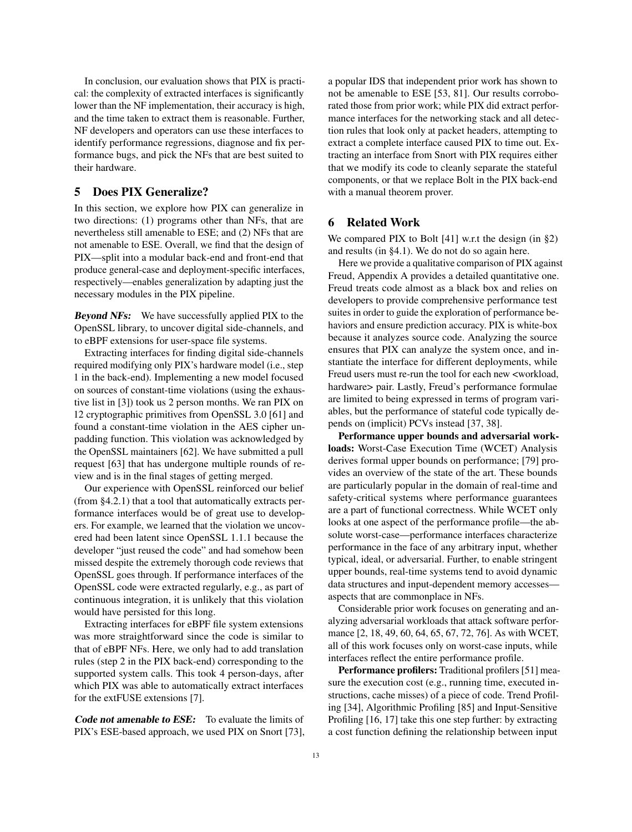In conclusion, our evaluation shows that PIX is practical: the complexity of extracted interfaces is significantly lower than the NF implementation, their accuracy is high, and the time taken to extract them is reasonable. Further, NF developers and operators can use these interfaces to identify performance regressions, diagnose and fix performance bugs, and pick the NFs that are best suited to their hardware.

# <span id="page-12-0"></span>5 Does PIX Generalize?

In this section, we explore how PIX can generalize in two directions: (1) programs other than NFs, that are nevertheless still amenable to ESE; and (2) NFs that are not amenable to ESE. Overall, we find that the design of PIX—split into a modular back-end and front-end that produce general-case and deployment-specific interfaces, respectively—enables generalization by adapting just the necessary modules in the PIX pipeline.

**Beyond NFs:** We have successfully applied PIX to the OpenSSL library, to uncover digital side-channels, and to eBPF extensions for user-space file systems.

Extracting interfaces for finding digital side-channels required modifying only PIX's hardware model (i.e., step 1 in the back-end). Implementing a new model focused on sources of constant-time violations (using the exhaustive list in [\[3\]](#page-13-11)) took us 2 person months. We ran PIX on 12 cryptographic primitives from OpenSSL 3.0 [\[61\]](#page-14-31) and found a constant-time violation in the AES cipher unpadding function. This violation was acknowledged by the OpenSSL maintainers [\[62\]](#page-15-11). We have submitted a pull request [\[63\]](#page-15-12) that has undergone multiple rounds of review and is in the final stages of getting merged.

Our experience with OpenSSL reinforced our belief (from [§4.2.1\)](#page-10-3) that a tool that automatically extracts performance interfaces would be of great use to developers. For example, we learned that the violation we uncovered had been latent since OpenSSL 1.1.1 because the developer "just reused the code" and had somehow been missed despite the extremely thorough code reviews that OpenSSL goes through. If performance interfaces of the OpenSSL code were extracted regularly, e.g., as part of continuous integration, it is unlikely that this violation would have persisted for this long.

Extracting interfaces for eBPF file system extensions was more straightforward since the code is similar to that of eBPF NFs. Here, we only had to add translation rules (step 2 in the PIX back-end) corresponding to the supported system calls. This took 4 person-days, after which PIX was able to automatically extract interfaces for the extFUSE extensions [\[7\]](#page-13-12).

Code not amenable to ESE: To evaluate the limits of PIX's ESE-based approach, we used PIX on Snort [\[73\]](#page-15-13), a popular IDS that independent prior work has shown to not be amenable to ESE [\[53,](#page-14-32) [81\]](#page-15-14). Our results corroborated those from prior work; while PIX did extract performance interfaces for the networking stack and all detection rules that look only at packet headers, attempting to extract a complete interface caused PIX to time out. Extracting an interface from Snort with PIX requires either that we modify its code to cleanly separate the stateful components, or that we replace Bolt in the PIX back-end with a manual theorem prover.

# <span id="page-12-1"></span>6 Related Work

We compared PIX to Bolt [\[41\]](#page-14-10) w.r.t the design (in [§2\)](#page-1-0) and results (in [§4.1\)](#page-7-1). We do not do so again here.

Here we provide a qualitative comparison of PIX against Freud, Appendix [A](#page-15-6) provides a detailed quantitative one. Freud treats code almost as a black box and relies on developers to provide comprehensive performance test suites in order to guide the exploration of performance behaviors and ensure prediction accuracy. PIX is white-box because it analyzes source code. Analyzing the source ensures that PIX can analyze the system once, and instantiate the interface for different deployments, while Freud users must re-run the tool for each new <workload, hardware> pair. Lastly, Freud's performance formulae are limited to being expressed in terms of program variables, but the performance of stateful code typically depends on (implicit) PCVs instead [\[37,](#page-14-13) [38\]](#page-14-14).

Performance upper bounds and adversarial workloads: Worst-Case Execution Time (WCET) Analysis derives formal upper bounds on performance; [\[79\]](#page-15-4) provides an overview of the state of the art. These bounds are particularly popular in the domain of real-time and safety-critical systems where performance guarantees are a part of functional correctness. While WCET only looks at one aspect of the performance profile—the absolute worst-case—performance interfaces characterize performance in the face of any arbitrary input, whether typical, ideal, or adversarial. Further, to enable stringent upper bounds, real-time systems tend to avoid dynamic data structures and input-dependent memory accesses aspects that are commonplace in NFs.

Considerable prior work focuses on generating and analyzing adversarial workloads that attack software performance [\[2,](#page-13-13) [18,](#page-14-33) [49,](#page-14-34) [60,](#page-14-35) [64,](#page-15-3) [65,](#page-15-15) [67,](#page-15-16) [72,](#page-15-17) [76\]](#page-15-18). As with WCET, all of this work focuses only on worst-case inputs, while interfaces reflect the entire performance profile.

Performance profilers: Traditional profilers [\[51\]](#page-14-36) measure the execution cost (e.g., running time, executed instructions, cache misses) of a piece of code. Trend Profiling [\[34\]](#page-14-37), Algorithmic Profiling [\[85\]](#page-15-19) and Input-Sensitive Profiling [\[16,](#page-13-14) [17\]](#page-14-38) take this one step further: by extracting a cost function defining the relationship between input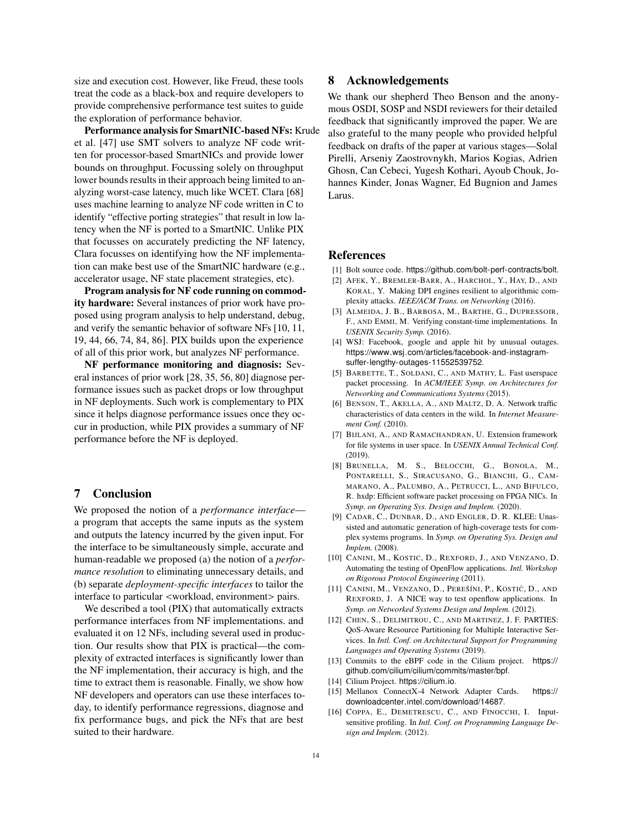size and execution cost. However, like Freud, these tools treat the code as a black-box and require developers to provide comprehensive performance test suites to guide the exploration of performance behavior.

Performance analysis for SmartNIC-based NFs: Krude et al. [\[47\]](#page-14-39) use SMT solvers to analyze NF code written for processor-based SmartNICs and provide lower bounds on throughput. Focussing solely on throughput lower bounds results in their approach being limited to analyzing worst-case latency, much like WCET. Clara [\[68\]](#page-15-20) uses machine learning to analyze NF code written in C to identify "effective porting strategies" that result in low latency when the NF is ported to a SmartNIC. Unlike PIX that focusses on accurately predicting the NF latency, Clara focusses on identifying how the NF implementation can make best use of the SmartNIC hardware (e.g., accelerator usage, NF state placement strategies, etc).

Program analysis for NF code running on commodity hardware: Several instances of prior work have proposed using program analysis to help understand, debug, and verify the semantic behavior of software NFs [\[10,](#page-13-15) [11,](#page-13-16) [19,](#page-14-40) [44,](#page-14-41) [66,](#page-15-21) [74,](#page-15-22) [84,](#page-15-23) [86\]](#page-15-24). PIX builds upon the experience of all of this prior work, but analyzes NF performance.

NF performance monitoring and diagnosis: Several instances of prior work [\[28,](#page-14-42) [35,](#page-14-2) [56,](#page-14-43) [80\]](#page-15-25) diagnose performance issues such as packet drops or low throughput in NF deployments. Such work is complementary to PIX since it helps diagnose performance issues once they occur in production, while PIX provides a summary of NF performance before the NF is deployed.

# <span id="page-13-3"></span>7 Conclusion

We proposed the notion of a *performance interface* a program that accepts the same inputs as the system and outputs the latency incurred by the given input. For the interface to be simultaneously simple, accurate and human-readable we proposed (a) the notion of a *performance resolution* to eliminating unnecessary details, and (b) separate *deployment-specific interfaces* to tailor the interface to particular <workload, environment> pairs.

We described a tool (PIX) that automatically extracts performance interfaces from NF implementations. and evaluated it on 12 NFs, including several used in production. Our results show that PIX is practical—the complexity of extracted interfaces is significantly lower than the NF implementation, their accuracy is high, and the time to extract them is reasonable. Finally, we show how NF developers and operators can use these interfaces today, to identify performance regressions, diagnose and fix performance bugs, and pick the NFs that are best suited to their hardware.

# 8 Acknowledgements

We thank our shepherd Theo Benson and the anonymous OSDI, SOSP and NSDI reviewers for their detailed feedback that significantly improved the paper. We are also grateful to the many people who provided helpful feedback on drafts of the paper at various stages—Solal Pirelli, Arseniy Zaostrovnykh, Marios Kogias, Adrien Ghosn, Can Cebeci, Yugesh Kothari, Ayoub Chouk, Johannes Kinder, Jonas Wagner, Ed Bugnion and James Larus.

## References

- <span id="page-13-9"></span>[1] Bolt source code. https://github.[com/bolt-perf-contracts/bolt](https://github.com/bolt-perf-contracts/bolt).
- <span id="page-13-13"></span>[2] AFEK, Y., BREMLER-BARR, A., HARCHOL, Y., HAY, D., AND KORAL, Y. Making DPI engines resilient to algorithmic complexity attacks. *IEEE/ACM Trans. on Networking* (2016).
- <span id="page-13-11"></span>[3] ALMEIDA, J. B., BARBOSA, M., BARTHE, G., DUPRESSOIR, F., AND EMMI, M. Verifying constant-time implementations. In *USENIX Security Symp.* (2016).
- <span id="page-13-0"></span>[4] WSJ: Facebook, google and apple hit by unusual outages. https://www.wsj.[com/articles/facebook-and-instagram](https://www.wsj.com/articles/facebook-and-instagram-suffer-lengthy-outages-11552539752)[suffer-lengthy-outages-11552539752](https://www.wsj.com/articles/facebook-and-instagram-suffer-lengthy-outages-11552539752).
- <span id="page-13-4"></span>[5] BARBETTE, T., SOLDANI, C., AND MATHY, L. Fast userspace packet processing. In *ACM/IEEE Symp. on Architectures for Networking and Communications Systems* (2015).
- <span id="page-13-8"></span>[6] BENSON, T., AKELLA, A., AND MALTZ, D. A. Network traffic characteristics of data centers in the wild. In *Internet Measurement Conf.* (2010).
- <span id="page-13-12"></span>[7] BIJLANI, A., AND RAMACHANDRAN, U. Extension framework for file systems in user space. In *USENIX Annual Technical Conf.*  $(2019)$
- <span id="page-13-7"></span>[8] BRUNELLA, M. S., BELOCCHI, G., BONOLA, M., PONTARELLI, S., SIRACUSANO, G., BIANCHI, G., CAM-MARANO, A., PALUMBO, A., PETRUCCI, L., AND BIFULCO, R. hxdp: Efficient software packet processing on FPGA NICs. In *Symp. on Operating Sys. Design and Implem.* (2020).
- <span id="page-13-5"></span>[9] CADAR, C., DUNBAR, D., AND ENGLER, D. R. KLEE: Unassisted and automatic generation of high-coverage tests for complex systems programs. In *Symp. on Operating Sys. Design and Implem.* (2008).
- <span id="page-13-15"></span>[10] CANINI, M., KOSTIC, D., REXFORD, J., AND VENZANO, D. Automating the testing of OpenFlow applications. *Intl. Workshop on Rigorous Protocol Engineering* (2011).
- <span id="page-13-16"></span>[11] CANINI, M., VENZANO, D., PEREŠÍNI, P., KOSTIĆ, D., AND REXFORD, J. A NICE way to test openflow applications. In *Symp. on Networked Systems Design and Implem.* (2012).
- <span id="page-13-1"></span>[12] CHEN, S., DELIMITROU, C., AND MARTINEZ, J. F. PARTIES: QoS-Aware Resource Partitioning for Multiple Interactive Services. In *Intl. Conf. on Architectural Support for Programming Languages and Operating Systems* (2019).
- <span id="page-13-6"></span>[13] Commits to the eBPF code in the Cilium project. [https://](https://github.com/cilium/cilium/commits/master/bpf) github.[com/cilium/cilium/commits/master/bpf](https://github.com/cilium/cilium/commits/master/bpf).
- <span id="page-13-2"></span>[14] Cilium Project. [https://cilium](https://cilium.io).io.
- <span id="page-13-10"></span>[15] Mellanox ConnectX-4 Network Adapter Cards. [https://](https://downloadcenter.intel.com/download/14687) downloadcenter.intel.[com/download/14687](https://downloadcenter.intel.com/download/14687).
- <span id="page-13-14"></span>[16] COPPA, E., DEMETRESCU, C., AND FINOCCHI, I. Inputsensitive profiling. In *Intl. Conf. on Programming Language Design and Implem.* (2012).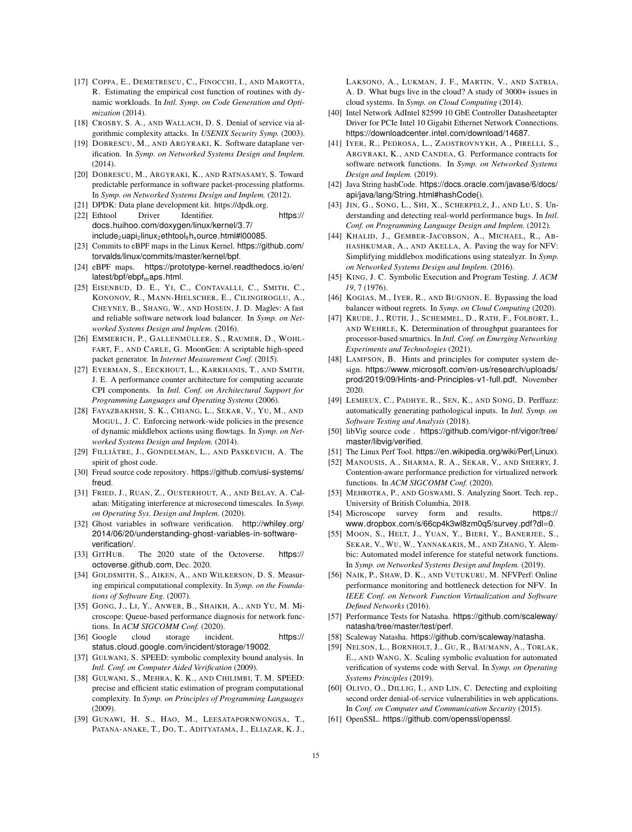- <span id="page-14-38"></span>[17] COPPA, E., DEMETRESCU, C., FINOCCHI, I., AND MAROTTA, R. Estimating the empirical cost function of routines with dynamic workloads. In *Intl. Symp. on Code Generation and Optimization* (2014).
- <span id="page-14-33"></span>[18] CROSBY, S. A., AND WALLACH, D. S. Denial of service via algorithmic complexity attacks. In *USENIX Security Symp.* (2003).
- <span id="page-14-40"></span>[19] DOBRESCU, M., AND ARGYRAKI, K. Software dataplane verification. In *Symp. on Networked Systems Design and Implem.* (2014).
- <span id="page-14-21"></span>[20] DOBRESCU, M., ARGYRAKI, K., AND RATNASAMY, S. Toward predictable performance in software packet-processing platforms. In *Symp. on Networked Systems Design and Implem.* (2012).
- <span id="page-14-29"></span><span id="page-14-9"></span>[21] DPDK: Data plane development kit. https://dpdk.org. [22] Ethtool Driver Identifier. [https://](https://docs.huihoo.com/doxygen/linux/kernel/3.7/include_2uapi_2linux_2ethtool_8h_source.html#l00085) docs.huihoo.[com/doxygen/linux/kernel/3](https://docs.huihoo.com/doxygen/linux/kernel/3.7/include_2uapi_2linux_2ethtool_8h_source.html#l00085).7/  $include_2$ uapi<sub>2</sub>linux<sub>2</sub>ethtool<sub>8</sub>h<sub>s</sub>ource.[html#l00085](https://docs.huihoo.com/doxygen/linux/kernel/3.7/include_2uapi_2linux_2ethtool_8h_source.html#l00085).
- <span id="page-14-19"></span>[23] Commits to eBPF maps in the Linux Kernel. [https://github](https://github.com/torvalds/linux/commits/master/kernel/bpf).com/ [torvalds/linux/commits/master/kernel/bpf](https://github.com/torvalds/linux/commits/master/kernel/bpf).
- <span id="page-14-18"></span>[24] eBPF maps. [https://prototype-kernel](https://prototype-kernel.readthedocs.io/en/latest/bpf/ebpf_maps.html).readthedocs.io/en/  $lates t/bpf/ebpf_maps.html.$
- <span id="page-14-22"></span>[25] EISENBUD, D. E., YI, C., CONTAVALLI, C., SMITH, C., KONONOV, R., MANN-HIELSCHER, E., CILINGIROGLU, A., CHEYNEY, B., SHANG, W., AND HOSEIN, J. D. Maglev: A fast and reliable software network load balancer. In *Symp. on Networked Systems Design and Implem.* (2016).
- <span id="page-14-24"></span>[26] EMMERICH, P., GALLENMÜLLER, S., RAUMER, D., WOHL-FART, F., AND CARLE, G. MoonGen: A scriptable high-speed packet generator. In *Internet Measurement Conf.* (2015).
- <span id="page-14-20"></span>[27] EYERMAN, S., EECKHOUT, L., KARKHANIS, T., AND SMITH, J. E. A performance counter architecture for computing accurate CPI components. In *Intl. Conf. on Architectural Support for Programming Languages and Operating Systems* (2006).
- <span id="page-14-42"></span>[28] FAYAZBAKHSH, S. K., CHIANG, L., SEKAR, V., YU, M., AND MOGUL, J. C. Enforcing network-wide policies in the presence of dynamic middlebox actions using flowtags. In *Symp. on Networked Systems Design and Implem.* (2014).
- <span id="page-14-11"></span>[29] FILLIÂTRE, J., GONDELMAN, L., AND PASKEVICH, A. The spirit of ghost code.
- <span id="page-14-44"></span>[30] Freud source code repository. https://github.[com/usi-systems/](https://github.com/usi-systems/freud) [freud](https://github.com/usi-systems/freud).
- <span id="page-14-6"></span>[31] FRIED, J., RUAN, Z., OUSTERHOUT, A., AND BELAY, A. Caladan: Mitigating interference at microsecond timescales. In *Symp. on Operating Sys. Design and Implem.* (2020).
- <span id="page-14-12"></span>[32] Ghost variables in software verification. [http://whiley](http://whiley.org/2014/06/20/understanding-ghost-variables-in-software-verification/).org/ [2014/06/20/understanding-ghost-variables-in-software](http://whiley.org/2014/06/20/understanding-ghost-variables-in-software-verification/)[verification/](http://whiley.org/2014/06/20/understanding-ghost-variables-in-software-verification/).
- <span id="page-14-15"></span>[33] GITHUB. The 2020 state of the Octoverse. [https://](https://octoverse.github.com) [octoverse](https://octoverse.github.com).github.com, Dec. 2020.
- <span id="page-14-37"></span>[34] GOLDSMITH, S., AIKEN, A., AND WILKERSON, D. S. Measuring empirical computational complexity. In *Symp. on the Foundations of Software Eng.* (2007).
- <span id="page-14-2"></span>[35] GONG, J., LI, Y., ANWER, B., SHAIKH, A., AND YU, M. Microscope: Queue-based performance diagnosis for network functions. In *ACM SIGCOMM Conf.* (2020).
- <span id="page-14-0"></span>[36] Google cloud storage incident. [https://](https://status.cloud.google.com/incident/storage/19002) status.cloud.google.[com/incident/storage/19002](https://status.cloud.google.com/incident/storage/19002).
- <span id="page-14-13"></span>[37] GULWANI, S. SPEED: symbolic complexity bound analysis. In *Intl. Conf. on Computer Aided Verification* (2009).
- <span id="page-14-14"></span>[38] GULWANI, S., MEHRA, K. K., AND CHILIMBI, T. M. SPEED: precise and efficient static estimation of program computational complexity. In *Symp. on Principles of Programming Languages* (2009).
- <span id="page-14-1"></span>[39] GUNAWI, H. S., HAO, M., LEESATAPORNWONGSA, T., PATANA-ANAKE, T., DO, T., ADITYATAMA, J., ELIAZAR, K. J.,

LAKSONO, A., LUKMAN, J. F., MARTIN, V., AND SATRIA, A. D. What bugs live in the cloud? A study of 3000+ issues in cloud systems. In *Symp. on Cloud Computing* (2014).

- <span id="page-14-28"></span>[40] Intel Network AdIntel 82599 10 GbE Controller Datasheetapter Driver for PCIe Intel 10 Gigabit Ethernet Network Connections. [https://downloadcenter](https://downloadcenter.intel.com/download/14687).intel.com/download/14687.
- <span id="page-14-10"></span>[41] IYER, R., PEDROSA, L., ZAOSTROVNYKH, A., PIRELLI, S., ARGYRAKI, K., AND CANDEA, G. Performance contracts for software network functions. In *Symp. on Networked Systems Design and Implem.* (2019).
- <span id="page-14-30"></span>[42] Java String hashCode. https://docs.oracle.[com/javase/6/docs/](https://docs.oracle.com/javase/6/docs/api/java/lang/String.html#hashCode()) [api/java/lang/String](https://docs.oracle.com/javase/6/docs/api/java/lang/String.html#hashCode()).html#hashCode().
- <span id="page-14-3"></span>[43] JIN, G., SONG, L., SHI, X., SCHERPELZ, J., AND LU, S. Understanding and detecting real-world performance bugs. In *Intl. Conf. on Programming Language Design and Implem.* (2012).
- <span id="page-14-41"></span>[44] KHALID, J., GEMBER-JACOBSON, A., MICHAEL, R., AB-HASHKUMAR, A., AND AKELLA, A. Paving the way for NFV: Simplifying middlebox modifications using statealyzr. In *Symp. on Networked Systems Design and Implem.* (2016).
- <span id="page-14-17"></span>[45] KING, J. C. Symbolic Execution and Program Testing. *J. ACM 19*, 7 (1976).
- <span id="page-14-23"></span>[46] KOGIAS, M., IYER, R., AND BUGNION, E. Bypassing the load balancer without regrets. In *Symp. on Cloud Computing* (2020).
- <span id="page-14-39"></span>[47] KRUDE, J., RÜTH, J., SCHEMMEL, D., RATH, F., FOLBORT, I., AND WEHRLE, K. Determination of throughput guarantees for processor-based smartnics. In *Intl. Conf. on Emerging Networking Experiments and Technologies* (2021).
- <span id="page-14-4"></span>[48] LAMPSON, B. Hints and principles for computer system design. https://www.microsoft.[com/en-us/research/uploads/](https://www.microsoft.com/en-us/research/uploads/prod/2019/09/Hints-and-Principles-v1-full.pdf) [prod/2019/09/Hints-and-Principles-v1-full](https://www.microsoft.com/en-us/research/uploads/prod/2019/09/Hints-and-Principles-v1-full.pdf).pdf, November 2020.
- <span id="page-14-34"></span>[49] LEMIEUX, C., PADHYE, R., SEN, K., AND SONG, D. Perffuzz: automatically generating pathological inputs. In *Intl. Symp. on Software Testing and Analysis* (2018).
- <span id="page-14-27"></span>[50] libVig source code . https://github.[com/vigor-nf/vigor/tree/](https://github.com/vigor-nf/vigor/tree/master/libvig/verified) [master/libvig/verified](https://github.com/vigor-nf/vigor/tree/master/libvig/verified).
- <span id="page-14-36"></span>[51] The Linux Perf Tool. https://en.wikipedia.[org/wiki/Perf](https://en.wikipedia.org/wiki/Perf_(Linux))<sub>(Linux).</sub>
- <span id="page-14-7"></span>[52] MANOUSIS, A., SHARMA, R. A., SEKAR, V., AND SHERRY, J. Contention-aware performance prediction for virtualized network functions. In *ACM SIGCOMM Conf.* (2020).
- <span id="page-14-32"></span>[53] MEHROTRA, P., AND GOSWAMI, S. Analyzing Snort. Tech. rep., University of British Columbia, 2018.
- <span id="page-14-5"></span>[54] Microscope survey form and results. [https://](https://www.dropbox.com/s/66cp4k3wl8zm0q5/survey.pdf?dl=0) www.dropbox.[com/s/66cp4k3wl8zm0q5/survey](https://www.dropbox.com/s/66cp4k3wl8zm0q5/survey.pdf?dl=0).pdf?dl=0.
- <span id="page-14-16"></span>[55] MOON, S., HELT, J., YUAN, Y., BIERI, Y., BANERJEE, S., SEKAR, V., WU, W., YANNAKAKIS, M., AND ZHANG, Y. Alembic: Automated model inference for stateful network functions. In *Symp. on Networked Systems Design and Implem.* (2019).
- <span id="page-14-43"></span>[56] NAIK, P., SHAW, D. K., AND VUTUKURU, M. NFVPerf: Online performance monitoring and bottleneck detection for NFV. In *IEEE Conf. on Network Function Virtualization and Software Defined Networks* (2016).
- <span id="page-14-25"></span>[57] Performance Tests for Natasha. https://github.[com/scaleway/](https://github.com/scaleway/natasha/tree/master/test/perf) [natasha/tree/master/test/perf](https://github.com/scaleway/natasha/tree/master/test/perf).
- <span id="page-14-8"></span>[58] Scaleway Natasha. https://github.[com/scaleway/natasha](https://github.com/scaleway/natasha).
- <span id="page-14-26"></span>[59] NELSON, L., BORNHOLT, J., GU, R., BAUMANN, A., TORLAK, E., AND WANG, X. Scaling symbolic evaluation for automated verification of systems code with Serval. In *Symp. on Operating Systems Principles* (2019).
- <span id="page-14-35"></span>[60] OLIVO, O., DILLIG, I., AND LIN, C. Detecting and exploiting second order denial-of-service vulnerabilities in web applications. In *Conf. on Computer and Communication Security* (2015).
- <span id="page-14-31"></span>[61] OpenSSL. https://github.[com/openssl/openssl](https://github.com/openssl/openssl).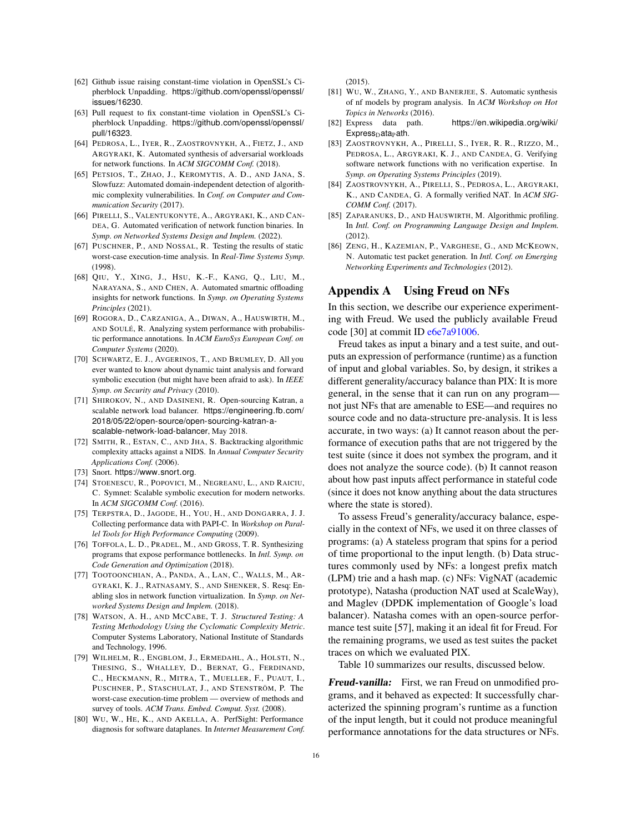- <span id="page-15-11"></span>[62] Github issue raising constant-time violation in OpenSSL's Cipherblock Unpadding. https://github.[com/openssl/openssl/](https://github.com/openssl/openssl/issues/16230) [issues/16230](https://github.com/openssl/openssl/issues/16230).
- <span id="page-15-12"></span>[63] Pull request to fix constant-time violation in OpenSSL's Cipherblock Unpadding. https://github.[com/openssl/openssl/](https://github.com/openssl/openssl/pull/16323) [pull/16323](https://github.com/openssl/openssl/pull/16323).
- <span id="page-15-3"></span>[64] PEDROSA, L., IYER, R., ZAOSTROVNYKH, A., FIETZ, J., AND ARGYRAKI, K. Automated synthesis of adversarial workloads for network functions. In *ACM SIGCOMM Conf.* (2018).
- <span id="page-15-15"></span>[65] PETSIOS, T., ZHAO, J., KEROMYTIS, A. D., AND JANA, S. Slowfuzz: Automated domain-independent detection of algorithmic complexity vulnerabilities. In *Conf. on Computer and Communication Security* (2017).
- <span id="page-15-21"></span>[66] PIRELLI, S., VALENTUKONYTĖ, A., ARGYRAKI, K., AND CAN-DEA, G. Automated verification of network function binaries. In *Symp. on Networked Systems Design and Implem.* (2022).
- <span id="page-15-16"></span>[67] PUSCHNER, P., AND NOSSAL, R. Testing the results of static worst-case execution-time analysis. In *Real-Time Systems Symp.* (1998).
- <span id="page-15-20"></span>[68] QIU, Y., XING, J., HSU, K.-F., KANG, Q., LIU, M., NARAYANA, S., AND CHEN, A. Automated smartnic offloading insights for network functions. In *Symp. on Operating Systems Principles* (2021).
- <span id="page-15-5"></span>[69] ROGORA, D., CARZANIGA, A., DIWAN, A., HAUSWIRTH, M., AND SOULÉ, R. Analyzing system performance with probabilistic performance annotations. In *ACM EuroSys European Conf. on Computer Systems* (2020).
- <span id="page-15-8"></span>[70] SCHWARTZ, E. J., AVGERINOS, T., AND BRUMLEY, D. All you ever wanted to know about dynamic taint analysis and forward symbolic execution (but might have been afraid to ask). In *IEEE Symp. on Security and Privacy* (2010).
- <span id="page-15-1"></span>[71] SHIROKOV, N., AND DASINENI, R. Open-sourcing Katran, a scalable network load balancer. [https://engineering](https://engineering.fb.com/2018/05/22/open-source/open-sourcing-katran-a-scalable-network-load-balancer).fb.com/ [2018/05/22/open-source/open-sourcing-katran-a](https://engineering.fb.com/2018/05/22/open-source/open-sourcing-katran-a-scalable-network-load-balancer)[scalable-network-load-balancer](https://engineering.fb.com/2018/05/22/open-source/open-sourcing-katran-a-scalable-network-load-balancer), May 2018.
- <span id="page-15-17"></span>[72] SMITH, R., ESTAN, C., AND JHA, S. Backtracking algorithmic complexity attacks against a NIDS. In *Annual Computer Security Applications Conf.* (2006).
- <span id="page-15-13"></span>[73] Snort. [https://www](https://www.snort.org).snort.org.
- <span id="page-15-22"></span>[74] STOENESCU, R., POPOVICI, M., NEGREANU, L., AND RAICIU, C. Symnet: Scalable symbolic execution for modern networks. In *ACM SIGCOMM Conf.* (2016).
- <span id="page-15-9"></span>[75] TERPSTRA, D., JAGODE, H., YOU, H., AND DONGARRA, J. J. Collecting performance data with PAPI-C. In *Workshop on Parallel Tools for High Performance Computing* (2009).
- <span id="page-15-18"></span>[76] TOFFOLA, L. D., PRADEL, M., AND GROSS, T. R. Synthesizing programs that expose performance bottlenecks. In *Intl. Symp. on Code Generation and Optimization* (2018).
- <span id="page-15-0"></span>[77] TOOTOONCHIAN, A., PANDA, A., LAN, C., WALLS, M., AR-GYRAKI, K. J., RATNASAMY, S., AND SHENKER, S. Resq: Enabling slos in network function virtualization. In *Symp. on Networked Systems Design and Implem.* (2018).
- <span id="page-15-10"></span>[78] WATSON, A. H., AND MCCABE, T. J. *Structured Testing: A Testing Methodology Using the Cyclomatic Complexity Metric*. Computer Systems Laboratory, National Institute of Standards and Technology, 1996.
- <span id="page-15-4"></span>[79] WILHELM, R., ENGBLOM, J., ERMEDAHL, A., HOLSTI, N., THESING, S., WHALLEY, D., BERNAT, G., FERDINAND, C., HECKMANN, R., MITRA, T., MUELLER, F., PUAUT, I., PUSCHNER, P., STASCHULAT, J., AND STENSTRÖM, P. The worst-case execution-time problem — overview of methods and survey of tools. *ACM Trans. Embed. Comput. Syst.* (2008).
- <span id="page-15-25"></span>[80] WU, W., HE, K., AND AKELLA, A. PerfSight: Performance diagnosis for software dataplanes. In *Internet Measurement Conf.*

 $(2015)$ .

- <span id="page-15-14"></span>[81] WU, W., ZHANG, Y., AND BANERJEE, S. Automatic synthesis of nf models by program analysis. In *ACM Workshop on Hot Topics in Networks* (2016).
- <span id="page-15-2"></span>[82] Express data path. [https://en](https://en.wikipedia.org/wiki/Express_Data_Path).wikipedia.org/wiki/  $Express_{D}$  $Express_{D}$ ata<sub>P</sub>ath.
- <span id="page-15-7"></span>[83] ZAOSTROVNYKH, A., PIRELLI, S., IYER, R. R., RIZZO, M., PEDROSA, L., ARGYRAKI, K. J., AND CANDEA, G. Verifying software network functions with no verification expertise. In *Symp. on Operating Systems Principles* (2019).
- <span id="page-15-23"></span>[84] ZAOSTROVNYKH, A., PIRELLI, S., PEDROSA, L., ARGYRAKI, K., AND CANDEA, G. A formally verified NAT. In *ACM SIG-COMM Conf.* (2017).
- <span id="page-15-19"></span>[85] ZAPARANUKS, D., AND HAUSWIRTH, M. Algorithmic profiling. In *Intl. Conf. on Programming Language Design and Implem.* (2012).
- <span id="page-15-24"></span>[86] ZENG, H., KAZEMIAN, P., VARGHESE, G., AND MCKEOWN, N. Automatic test packet generation. In *Intl. Conf. on Emerging Networking Experiments and Technologies* (2012).

#### <span id="page-15-6"></span>Appendix A Using Freud on NFs

In this section, we describe our experience experimenting with Freud. We used the publicly available Freud code [\[30\]](#page-14-44) at commit ID [e6e7a91006.](https://github.com/usi-systems/freud/tree/e6e7a91006972a6d0a390c5cb66617105426bee6)

Freud takes as input a binary and a test suite, and outputs an expression of performance (runtime) as a function of input and global variables. So, by design, it strikes a different generality/accuracy balance than PIX: It is more general, in the sense that it can run on any program not just NFs that are amenable to ESE—and requires no source code and no data-structure pre-analysis. It is less accurate, in two ways: (a) It cannot reason about the performance of execution paths that are not triggered by the test suite (since it does not symbex the program, and it does not analyze the source code). (b) It cannot reason about how past inputs affect performance in stateful code (since it does not know anything about the data structures where the state is stored).

To assess Freud's generality/accuracy balance, especially in the context of NFs, we used it on three classes of programs: (a) A stateless program that spins for a period of time proportional to the input length. (b) Data structures commonly used by NFs: a longest prefix match (LPM) trie and a hash map. (c) NFs: VigNAT (academic prototype), Natasha (production NAT used at ScaleWay), and Maglev (DPDK implementation of Google's load balancer). Natasha comes with an open-source performance test suite [\[57\]](#page-14-25), making it an ideal fit for Freud. For the remaining programs, we used as test suites the packet traces on which we evaluated PIX.

Table [10](#page-16-1) summarizes our results, discussed below.

Freud-vanilla: First, we ran Freud on unmodified programs, and it behaved as expected: It successfully characterized the spinning program's runtime as a function of the input length, but it could not produce meaningful performance annotations for the data structures or NFs.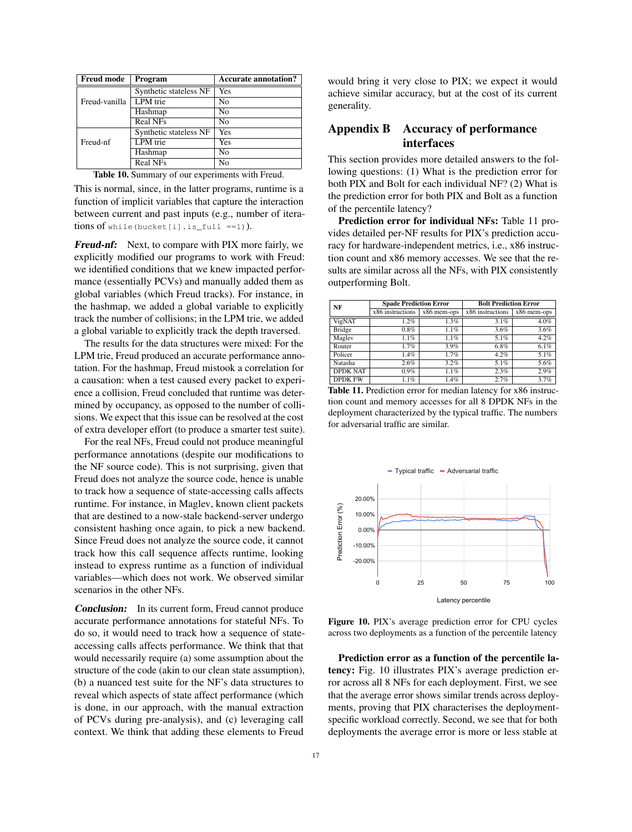<span id="page-16-1"></span>

| <b>Freud mode</b> | Program                | <b>Accurate annotation?</b> |
|-------------------|------------------------|-----------------------------|
|                   | Synthetic stateless NF | Yes                         |
| Freud-vanilla     | LPM trie               | No                          |
|                   | Hashmap                | No                          |
|                   | <b>Real NFs</b>        | N <sub>0</sub>              |
|                   | Synthetic stateless NF | Yes                         |
| Freud-nf          | LPM trie               | Yes                         |
|                   | Hashmap                | No                          |
|                   | <b>Real NFs</b>        | No                          |

Table 10. Summary of our experiments with Freud.

This is normal, since, in the latter programs, runtime is a function of implicit variables that capture the interaction between current and past inputs (e.g., number of iterations of while(bucket[i].is\_full ==1)).

Freud-nf: Next, to compare with PIX more fairly, we explicitly modified our programs to work with Freud: we identified conditions that we knew impacted performance (essentially PCVs) and manually added them as global variables (which Freud tracks). For instance, in the hashmap, we added a global variable to explicitly track the number of collisions; in the LPM trie, we added a global variable to explicitly track the depth traversed.

The results for the data structures were mixed: For the LPM trie, Freud produced an accurate performance annotation. For the hashmap, Freud mistook a correlation for a causation: when a test caused every packet to experience a collision, Freud concluded that runtime was determined by occupancy, as opposed to the number of collisions. We expect that this issue can be resolved at the cost of extra developer effort (to produce a smarter test suite).

For the real NFs, Freud could not produce meaningful performance annotations (despite our modifications to the NF source code). This is not surprising, given that Freud does not analyze the source code, hence is unable to track how a sequence of state-accessing calls affects runtime. For instance, in Maglev, known client packets that are destined to a now-stale backend-server undergo consistent hashing once again, to pick a new backend. Since Freud does not analyze the source code, it cannot track how this call sequence affects runtime, looking instead to express runtime as a function of individual variables—which does not work. We observed similar scenarios in the other NFs.

Conclusion: In its current form, Freud cannot produce accurate performance annotations for stateful NFs. To do so, it would need to track how a sequence of stateaccessing calls affects performance. We think that that would necessarily require (a) some assumption about the structure of the code (akin to our clean state assumption), (b) a nuanced test suite for the NF's data structures to reveal which aspects of state affect performance (which is done, in our approach, with the manual extraction of PCVs during pre-analysis), and (c) leveraging call context. We think that adding these elements to Freud

would bring it very close to PIX; we expect it would achieve similar accuracy, but at the cost of its current generality.

# <span id="page-16-0"></span>Appendix B Accuracy of performance interfaces

This section provides more detailed answers to the following questions: (1) What is the prediction error for both PIX and Bolt for each individual NF? (2) What is the prediction error for both PIX and Bolt as a function of the percentile latency?

Prediction error for individual NFs: Table [11](#page-16-2) provides detailed per-NF results for PIX's prediction accuracy for hardware-independent metrics, i.e., x86 instruction count and x86 memory accesses. We see that the results are similar across all the NFs, with PIX consistently outperforming Bolt.

<span id="page-16-2"></span>

| NF              | <b>Spade Prediction Error</b> |               | <b>Bolt Prediction Error</b> |               |  |
|-----------------|-------------------------------|---------------|------------------------------|---------------|--|
|                 | x86 instructions              | $x86$ mem-ops | $x86$ instructions           | $x86$ mem-ops |  |
| VigNAT          | 1.2%                          | 1.3%          | 3.1%                         | 4.0%          |  |
| Bridge          | 0.8%                          | 1.1%          | 3.6%                         | 3.6%          |  |
| Maglev          | 1.1%                          | 1.1%          | 5.1%                         | 4.2%          |  |
| Router          | 1.7%                          | 3.9%          | 6.8%                         | 6.1%          |  |
| Policer         | 1.4%                          | 1.7%          | 4.2%                         | 5.1%          |  |
| Natasha         | 2.6%                          | 3.2%          | 5.1%                         | 5.6%          |  |
| <b>DPDK NAT</b> | $0.9\%$                       | 1.1%          | 2.3%                         | 2.9%          |  |
| <b>DPDK FW</b>  | 1.1%                          | 1.4%          | 2.7%                         | 3.7%          |  |

Table 11. Prediction error for median latency for x86 instruction count and memory accesses for all 8 DPDK NFs in the deployment characterized by the typical traffic. The numbers for adversarial traffic are similar.

<span id="page-16-3"></span>

Figure 10. PIX's average prediction error for CPU cycles across two deployments as a function of the percentile latency

Prediction error as a function of the percentile latency: Fig. [10](#page-16-3) illustrates PIX's average prediction error across all 8 NFs for each deployment. First, we see that the average error shows similar trends across deployments, proving that PIX characterises the deploymentspecific workload correctly. Second, we see that for both deployments the average error is more or less stable at